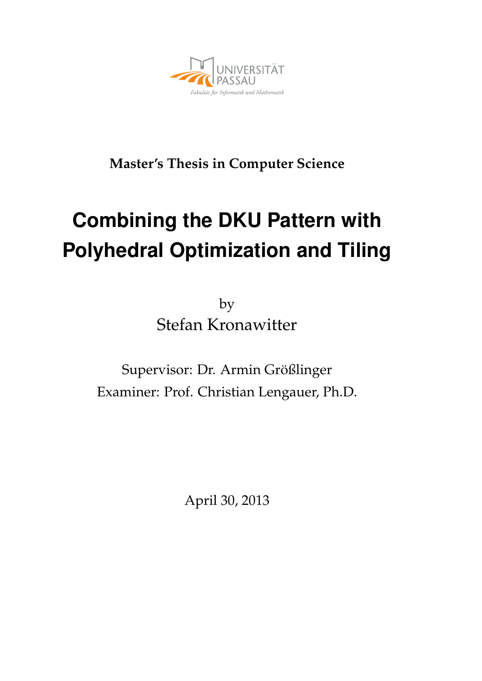

### **Master's Thesis in Computer Science**

# **Combining the DKU Pattern with Polyhedral Optimization and Tiling**

by Stefan Kronawitter

Supervisor: Dr. Armin Größlinger Examiner: Prof. Christian Lengauer, Ph.D.

April 30, 2013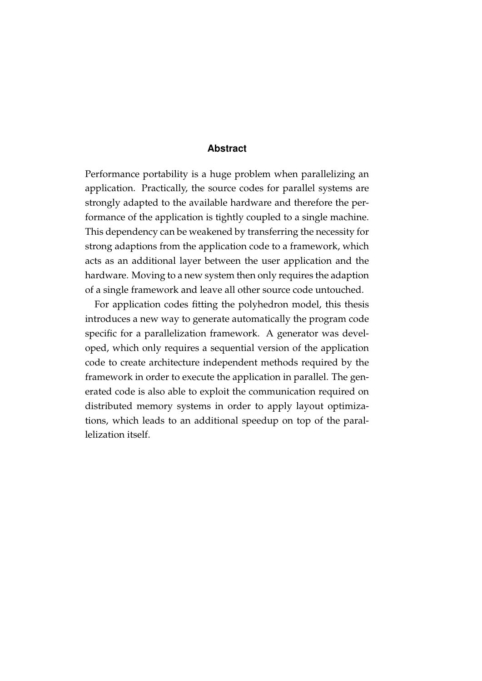#### **Abstract**

Performance portability is a huge problem when parallelizing an application. Practically, the source codes for parallel systems are strongly adapted to the available hardware and therefore the performance of the application is tightly coupled to a single machine. This dependency can be weakened by transferring the necessity for strong adaptions from the application code to a framework, which acts as an additional layer between the user application and the hardware. Moving to a new system then only requires the adaption of a single framework and leave all other source code untouched.

For application codes fitting the polyhedron model, this thesis introduces a new way to generate automatically the program code specific for a parallelization framework. A generator was developed, which only requires a sequential version of the application code to create architecture independent methods required by the framework in order to execute the application in parallel. The generated code is also able to exploit the communication required on distributed memory systems in order to apply layout optimizations, which leads to an additional speedup on top of the parallelization itself.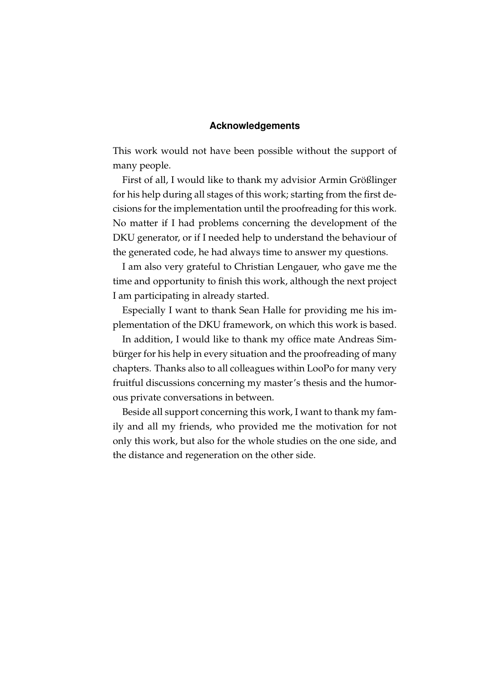#### **Acknowledgements**

This work would not have been possible without the support of many people.

First of all, I would like to thank my advisior Armin Größlinger for his help during all stages of this work; starting from the first decisions for the implementation until the proofreading for this work. No matter if I had problems concerning the development of the DKU generator, or if I needed help to understand the behaviour of the generated code, he had always time to answer my questions.

I am also very grateful to Christian Lengauer, who gave me the time and opportunity to finish this work, although the next project I am participating in already started.

Especially I want to thank Sean Halle for providing me his implementation of the DKU framework, on which this work is based.

In addition, I would like to thank my office mate Andreas Simbürger for his help in every situation and the proofreading of many chapters. Thanks also to all colleagues within LooPo for many very fruitful discussions concerning my master's thesis and the humorous private conversations in between.

Beside all support concerning this work, I want to thank my family and all my friends, who provided me the motivation for not only this work, but also for the whole studies on the one side, and the distance and regeneration on the other side.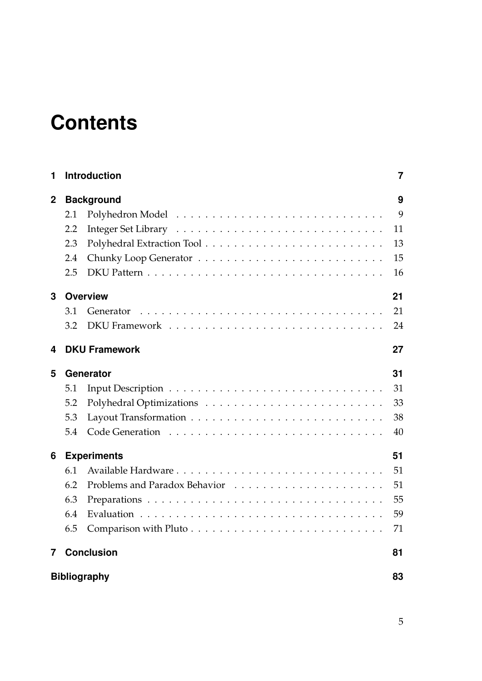## **Contents**

| 1                |                     | <b>Introduction</b>  | 7  |  |
|------------------|---------------------|----------------------|----|--|
| $\boldsymbol{2}$ | <b>Background</b>   |                      |    |  |
|                  | 2.1                 |                      | 9  |  |
|                  | 2.2                 |                      | 11 |  |
|                  | 2.3                 |                      | 13 |  |
|                  | 2.4                 |                      | 15 |  |
|                  | 2.5                 |                      | 16 |  |
| 3                | <b>Overview</b>     |                      |    |  |
|                  | 3.1                 | Generator            | 21 |  |
|                  | 3.2                 |                      | 24 |  |
| 4                |                     | <b>DKU Framework</b> | 27 |  |
| 5                | Generator           |                      |    |  |
|                  | 5.1                 |                      | 31 |  |
|                  | 5.2                 |                      | 33 |  |
|                  | 5.3                 |                      | 38 |  |
|                  | 5.4                 |                      | 40 |  |
| 6                | <b>Experiments</b>  |                      |    |  |
|                  | 6.1                 |                      | 51 |  |
|                  | 6.2                 |                      | 51 |  |
|                  | 6.3                 |                      | 55 |  |
|                  | 6.4                 |                      | 59 |  |
|                  | 6.5                 |                      | 71 |  |
| $\overline{7}$   | <b>Conclusion</b>   |                      | 81 |  |
|                  | <b>Bibliography</b> |                      |    |  |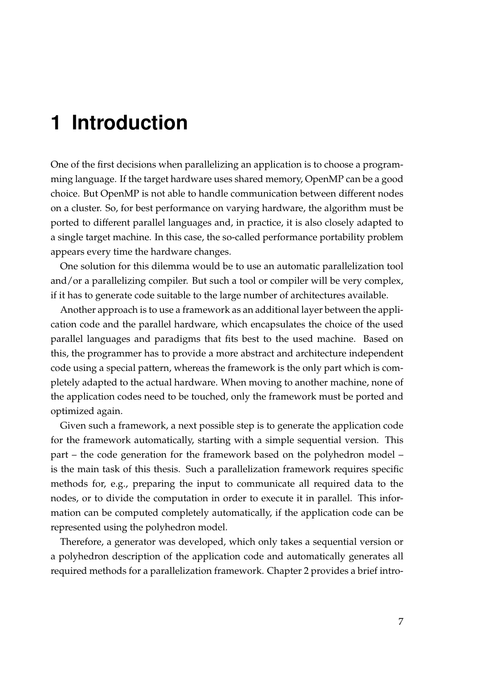## <span id="page-6-0"></span>**1 Introduction**

One of the first decisions when parallelizing an application is to choose a programming language. If the target hardware uses shared memory, OpenMP can be a good choice. But OpenMP is not able to handle communication between different nodes on a cluster. So, for best performance on varying hardware, the algorithm must be ported to different parallel languages and, in practice, it is also closely adapted to a single target machine. In this case, the so-called performance portability problem appears every time the hardware changes.

One solution for this dilemma would be to use an automatic parallelization tool and/or a parallelizing compiler. But such a tool or compiler will be very complex, if it has to generate code suitable to the large number of architectures available.

Another approach is to use a framework as an additional layer between the application code and the parallel hardware, which encapsulates the choice of the used parallel languages and paradigms that fits best to the used machine. Based on this, the programmer has to provide a more abstract and architecture independent code using a special pattern, whereas the framework is the only part which is completely adapted to the actual hardware. When moving to another machine, none of the application codes need to be touched, only the framework must be ported and optimized again.

Given such a framework, a next possible step is to generate the application code for the framework automatically, starting with a simple sequential version. This part – the code generation for the framework based on the polyhedron model – is the main task of this thesis. Such a parallelization framework requires specific methods for, e.g., preparing the input to communicate all required data to the nodes, or to divide the computation in order to execute it in parallel. This information can be computed completely automatically, if the application code can be represented using the polyhedron model.

Therefore, a generator was developed, which only takes a sequential version or a polyhedron description of the application code and automatically generates all required methods for a parallelization framework. Chapter [2](#page-8-0) provides a brief intro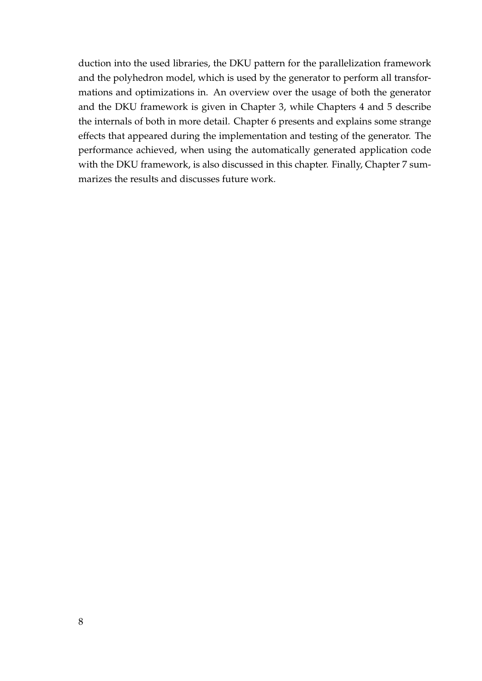duction into the used libraries, the DKU pattern for the parallelization framework and the polyhedron model, which is used by the generator to perform all transformations and optimizations in. An overview over the usage of both the generator and the DKU framework is given in Chapter [3,](#page-20-0) while Chapters [4](#page-26-0) and [5](#page-30-0) describe the internals of both in more detail. Chapter [6](#page-50-0) presents and explains some strange effects that appeared during the implementation and testing of the generator. The performance achieved, when using the automatically generated application code with the DKU framework, is also discussed in this chapter. Finally, Chapter [7](#page-80-0) summarizes the results and discusses future work.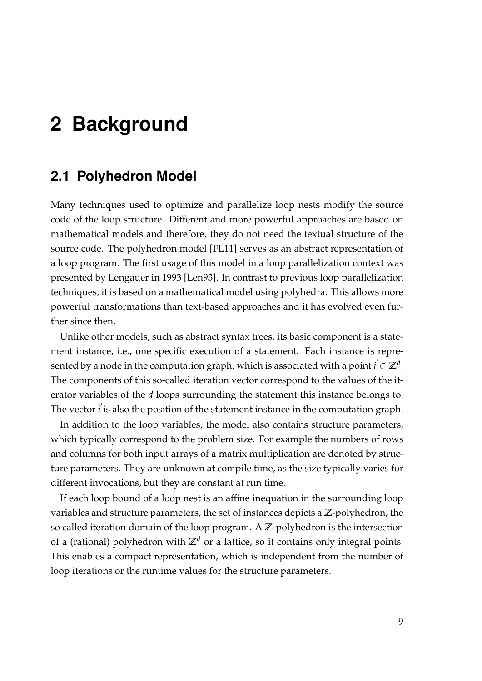## <span id="page-8-0"></span>**2 Background**

#### <span id="page-8-1"></span>**2.1 Polyhedron Model**

Many techniques used to optimize and parallelize loop nests modify the source code of the loop structure. Different and more powerful approaches are based on mathematical models and therefore, they do not need the textual structure of the source code. The polyhedron model [\[FL11\]](#page-82-1) serves as an abstract representation of a loop program. The first usage of this model in a loop parallelization context was presented by Lengauer in 1993 [\[Len93\]](#page-82-2). In contrast to previous loop parallelization techniques, it is based on a mathematical model using polyhedra. This allows more powerful transformations than text-based approaches and it has evolved even further since then.

Unlike other models, such as abstract syntax trees, its basic component is a statement instance, i.e., one specific execution of a statement. Each instance is represented by a node in the computation graph, which is associated with a point  $\vec{i} \in \mathbb{Z}^d$ . The components of this so-called iteration vector correspond to the values of the iterator variables of the *d* loops surrounding the statement this instance belongs to. The vector  $\vec{i}$  is also the position of the statement instance in the computation graph.

In addition to the loop variables, the model also contains structure parameters, which typically correspond to the problem size. For example the numbers of rows and columns for both input arrays of a matrix multiplication are denoted by structure parameters. They are unknown at compile time, as the size typically varies for different invocations, but they are constant at run time.

If each loop bound of a loop nest is an affine inequation in the surrounding loop variables and structure parameters, the set of instances depicts a **Z**-polyhedron, the so called iteration domain of the loop program. A **Z**-polyhedron is the intersection of a (rational) polyhedron with  $\mathbb{Z}^d$  or a lattice, so it contains only integral points. This enables a compact representation, which is independent from the number of loop iterations or the runtime values for the structure parameters.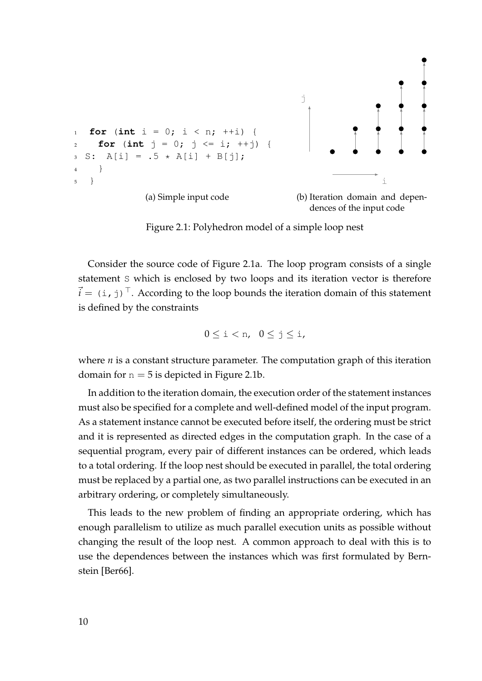<span id="page-9-0"></span>

Figure 2.1: Polyhedron model of a simple loop nest

Consider the source code of Figure [2.1a.](#page-9-0) The loop program consists of a single statement S which is enclosed by two loops and its iteration vector is therefore  $\vec{i} = (i, j)^\top$ . According to the loop bounds the iteration domain of this statement is defined by the constraints

 $0 \le i \le n$ ,  $0 \le j \le i$ ,

where *n* is a constant structure parameter. The computation graph of this iteration domain for  $n = 5$  is depicted in Figure [2.1b.](#page-9-0)

In addition to the iteration domain, the execution order of the statement instances must also be specified for a complete and well-defined model of the input program. As a statement instance cannot be executed before itself, the ordering must be strict and it is represented as directed edges in the computation graph. In the case of a sequential program, every pair of different instances can be ordered, which leads to a total ordering. If the loop nest should be executed in parallel, the total ordering must be replaced by a partial one, as two parallel instructions can be executed in an arbitrary ordering, or completely simultaneously.

This leads to the new problem of finding an appropriate ordering, which has enough parallelism to utilize as much parallel execution units as possible without changing the result of the loop nest. A common approach to deal with this is to use the dependences between the instances which was first formulated by Bernstein [\[Ber66\]](#page-82-3).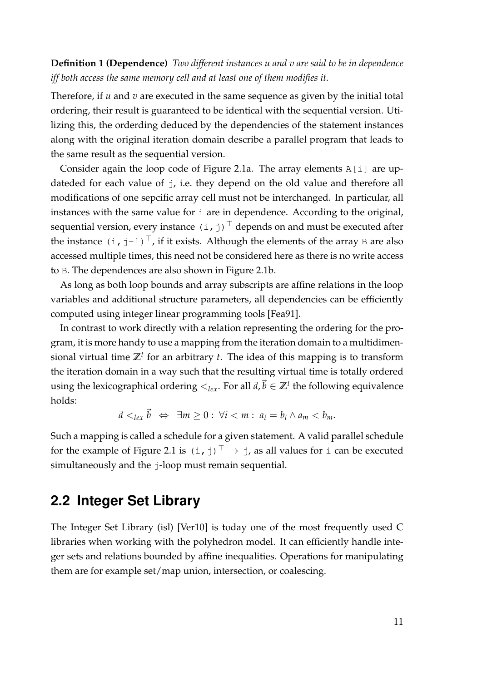**Definition 1 (Dependence)** *Two different instances u and v are said to be in dependence iff both access the same memory cell and at least one of them modifies it.*

Therefore, if *u* and *v* are executed in the same sequence as given by the initial total ordering, their result is guaranteed to be identical with the sequential version. Utilizing this, the orderding deduced by the dependencies of the statement instances along with the original iteration domain describe a parallel program that leads to the same result as the sequential version.

Consider again the loop code of Figure [2.1a.](#page-9-0) The array elements A[i] are updateded for each value of j, i.e. they depend on the old value and therefore all modifications of one sepcific array cell must not be interchanged. In particular, all instances with the same value for i are in dependence. According to the original, sequential version, every instance  $(i, j)$ <sup>T</sup> depends on and must be executed after the instance  $(i, j-1)$ <sup>T</sup>, if it exists. Although the elements of the array B are also accessed multiple times, this need not be considered here as there is no write access to B. The dependences are also shown in Figure [2.1b.](#page-9-0)

As long as both loop bounds and array subscripts are affine relations in the loop variables and additional structure parameters, all dependencies can be efficiently computed using integer linear programming tools [\[Fea91\]](#page-82-4).

In contrast to work directly with a relation representing the ordering for the program, it is more handy to use a mapping from the iteration domain to a multidimensional virtual time  $\mathbb{Z}^t$  for an arbitrary  $t$ . The idea of this mapping is to transform the iteration domain in a way such that the resulting virtual time is totally ordered using the lexicographical ordering  $\lt_{lex}$ . For all  $\vec{a}, \vec{b} \in \mathbb{Z}^t$  the following equivalence holds:

$$
\vec{a} <_{lex} \vec{b} \Leftrightarrow \exists m \geq 0 : \forall i < m : a_i = b_i \wedge a_m < b_m.
$$

Such a mapping is called a schedule for a given statement. A valid parallel schedule for the example of Figure [2.1](#page-9-0) is  $(i, j)$ <sup> $\top \rightarrow j$ </sup>, as all values for i can be executed simultaneously and the j-loop must remain sequential.

#### <span id="page-10-0"></span>**2.2 Integer Set Library**

The Integer Set Library (isl) [\[Ver10\]](#page-83-0) is today one of the most frequently used C libraries when working with the polyhedron model. It can efficiently handle integer sets and relations bounded by affine inequalities. Operations for manipulating them are for example set/map union, intersection, or coalescing.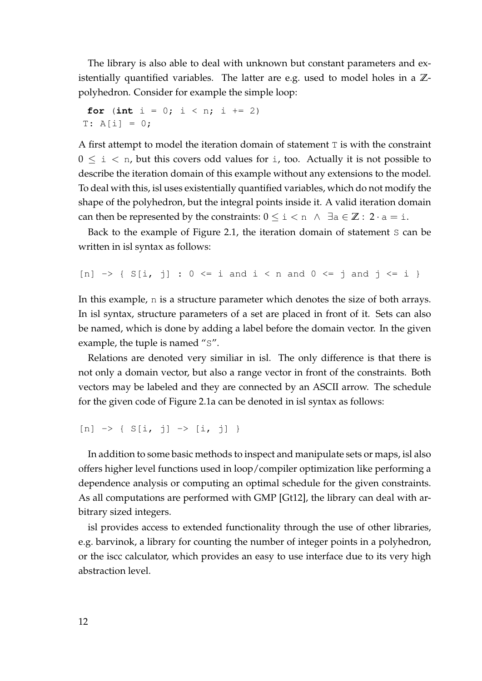The library is also able to deal with unknown but constant parameters and existentially quantified variables. The latter are e.g. used to model holes in a **Z**polyhedron. Consider for example the simple loop:

```
for (int i = 0; i < n; i +2)
T: A[i] = 0;
```
A first attempt to model the iteration domain of statement  $T$  is with the constraint  $0 \le i \le n$ , but this covers odd values for i, too. Actually it is not possible to describe the iteration domain of this example without any extensions to the model. To deal with this, isl uses existentially quantified variables, which do not modify the shape of the polyhedron, but the integral points inside it. A valid iteration domain can then be represented by the constraints:  $0 \le i \le n \land \exists a \in \mathbb{Z} : 2 \cdot a = i$ .

Back to the example of Figure [2.1,](#page-9-0) the iteration domain of statement S can be written in isl syntax as follows:

```
[n] \rightarrow { S[i, j] : 0 <= i and i < n and 0 <= j and j <= i }
```
In this example, n is a structure parameter which denotes the size of both arrays. In isl syntax, structure parameters of a set are placed in front of it. Sets can also be named, which is done by adding a label before the domain vector. In the given example, the tuple is named "S".

Relations are denoted very similiar in isl. The only difference is that there is not only a domain vector, but also a range vector in front of the constraints. Both vectors may be labeled and they are connected by an ASCII arrow. The schedule for the given code of Figure [2.1a](#page-9-0) can be denoted in isl syntax as follows:

 $[n] \rightarrow \{ S[i, j] \rightarrow [i, j] \}$ 

In addition to some basic methods to inspect and manipulate sets or maps, isl also offers higher level functions used in loop/compiler optimization like performing a dependence analysis or computing an optimal schedule for the given constraints. As all computations are performed with GMP [\[Gt12\]](#page-82-5), the library can deal with arbitrary sized integers.

isl provides access to extended functionality through the use of other libraries, e.g. barvinok, a library for counting the number of integer points in a polyhedron, or the iscc calculator, which provides an easy to use interface due to its very high abstraction level.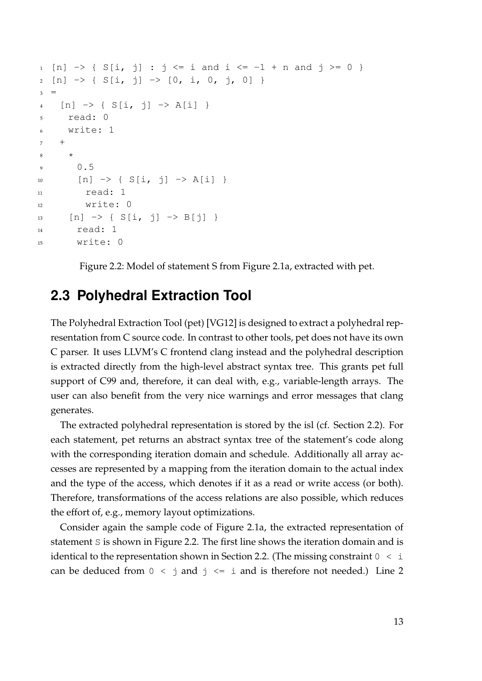```
1 [n] \rightarrow { S[i, j] : j <= i and i <= -1 + n and j >= 0 }
_{2} [n] -> { S[i, j] -> [0, i, 0, j, 0] }
3 =
4 [n] -> { S[i, j] -> A[i] }
5 read: 0
6 write: 1
7 +8 *
9 0.5
10 [n] \rightarrow \{ S[i, j] \rightarrow A[i] \}11 read: 1
12 write: 0
13 [n] \rightarrow \{ S[i, j] \rightarrow B[j] \}14 read: 1
15 write: 0
```
Figure 2.2: Model of statement S from Figure [2.1a,](#page-9-0) extracted with pet.

#### <span id="page-12-0"></span>**2.3 Polyhedral Extraction Tool**

The Polyhedral Extraction Tool (pet) [\[VG12\]](#page-83-1) is designed to extract a polyhedral representation from C source code. In contrast to other tools, pet does not have its own C parser. It uses LLVM's C frontend clang instead and the polyhedral description is extracted directly from the high-level abstract syntax tree. This grants pet full support of C99 and, therefore, it can deal with, e.g., variable-length arrays. The user can also benefit from the very nice warnings and error messages that clang generates.

The extracted polyhedral representation is stored by the isl (cf. Section [2.2\)](#page-10-0). For each statement, pet returns an abstract syntax tree of the statement's code along with the corresponding iteration domain and schedule. Additionally all array accesses are represented by a mapping from the iteration domain to the actual index and the type of the access, which denotes if it as a read or write access (or both). Therefore, transformations of the access relations are also possible, which reduces the effort of, e.g., memory layout optimizations.

Consider again the sample code of Figure [2.1a,](#page-9-0) the extracted representation of statement S is shown in Figure [2.2.](#page-12-1) The first line shows the iteration domain and is identical to the representation shown in Section [2.2.](#page-10-0) (The missing constraint  $0 < i$ can be deduced from  $0 \leq \pi$  and  $\pi \leq \pi$  and is therefore not needed.) Line 2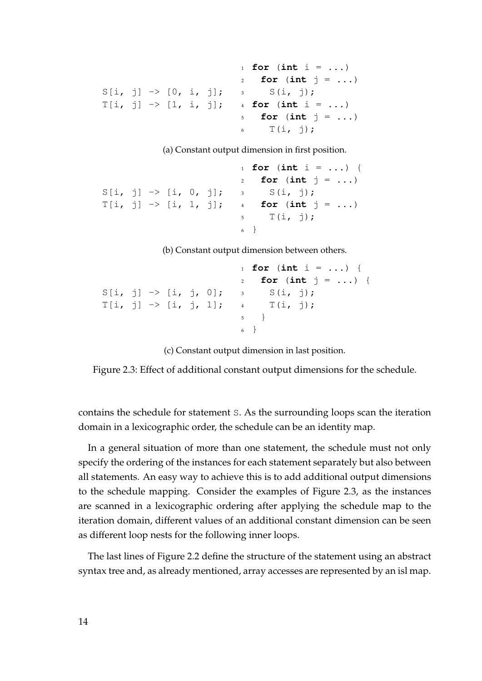<span id="page-13-0"></span> $S[i, j] \rightarrow [0, i, j];$  $T[i, j] \rightarrow [1, i, j];$  $\mathbf{1}$  **for** (int  $\mathbf{i} = \ldots$ )  $2$  **for** (int  $\mathbf{i} = \dots$ )  $S(i, j);$ <sup>4</sup> **for** (**int** i = ...) <sup>5</sup> **for** (**int** j = ...)  $\begin{bmatrix} 6 & \text{T}(1, 1); \end{bmatrix}$ 

(a) Constant output dimension in first position.

 $S[i, j] \rightarrow [i, 0, j];$  $T[i, j] \rightarrow [i, 1, j];$  $_1$  **for** (int i = ...) {  $2$  **for** (int  $\vdots$  = ...)  $S(i, j);$ <sup>4</sup> **for** (**int** j = ...)  $T(i, j);$ <sup>6</sup> }

(b) Constant output dimension between others.

```
S[i, j] \rightarrow [i, j, 0];T[i, j] \rightarrow [i, j, 1];1 for (int i = ...) {
                              2 for (int j = ...) {
                             S(i, j);\mathbb{I}(\mathbb{1}, \mathbb{1});5 }
                              6 }
```
(c) Constant output dimension in last position.

Figure 2.3: Effect of additional constant output dimensions for the schedule.

contains the schedule for statement S. As the surrounding loops scan the iteration domain in a lexicographic order, the schedule can be an identity map.

In a general situation of more than one statement, the schedule must not only specify the ordering of the instances for each statement separately but also between all statements. An easy way to achieve this is to add additional output dimensions to the schedule mapping. Consider the examples of Figure [2.3,](#page-13-0) as the instances are scanned in a lexicographic ordering after applying the schedule map to the iteration domain, different values of an additional constant dimension can be seen as different loop nests for the following inner loops.

The last lines of Figure [2.2](#page-12-1) define the structure of the statement using an abstract syntax tree and, as already mentioned, array accesses are represented by an isl map.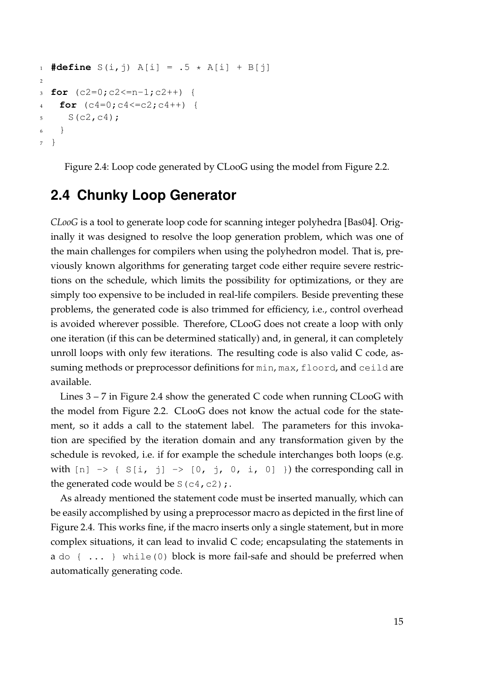```
1 #define S(i, j) A[i] = .5 * A[i] + B[j]\overline{2}3 for (c2=0;c2<=n-1;c2++) {
4 for (c4=0;c4<=c2;c4++) {
5 S(C2, C4);6 }
7 }
```
Figure 2.4: Loop code generated by CLooG using the model from Figure [2.2.](#page-12-1)

### <span id="page-14-0"></span>**2.4 Chunky Loop Generator**

*CLooG* is a tool to generate loop code for scanning integer polyhedra [\[Bas04\]](#page-82-6). Originally it was designed to resolve the loop generation problem, which was one of the main challenges for compilers when using the polyhedron model. That is, previously known algorithms for generating target code either require severe restrictions on the schedule, which limits the possibility for optimizations, or they are simply too expensive to be included in real-life compilers. Beside preventing these problems, the generated code is also trimmed for efficiency, i.e., control overhead is avoided wherever possible. Therefore, CLooG does not create a loop with only one iteration (if this can be determined statically) and, in general, it can completely unroll loops with only few iterations. The resulting code is also valid C code, assuming methods or preprocessor definitions for min, max, floord, and ceild are available.

Lines 3 – 7 in Figure [2.4](#page-14-1) show the generated C code when running CLooG with the model from Figure [2.2.](#page-12-1) CLooG does not know the actual code for the statement, so it adds a call to the statement label. The parameters for this invokation are specified by the iteration domain and any transformation given by the schedule is revoked, i.e. if for example the schedule interchanges both loops (e.g. with  $[n] \rightarrow \{ S[i, j] \rightarrow [0, j, 0, i, 0] \}$  the corresponding call in the generated code would be  $S(c4, c2)$ ;.

As already mentioned the statement code must be inserted manually, which can be easily accomplished by using a preprocessor macro as depicted in the first line of Figure [2.4.](#page-14-1) This works fine, if the macro inserts only a single statement, but in more complex situations, it can lead to invalid C code; encapsulating the statements in a do { ... } while(0) block is more fail-safe and should be preferred when automatically generating code.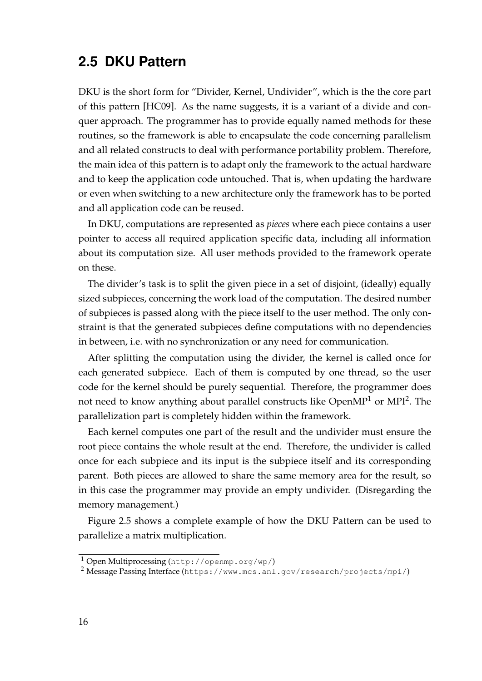#### <span id="page-15-0"></span>**2.5 DKU Pattern**

DKU is the short form for "Divider, Kernel, Undivider", which is the the core part of this pattern [\[HC09\]](#page-82-7). As the name suggests, it is a variant of a divide and conquer approach. The programmer has to provide equally named methods for these routines, so the framework is able to encapsulate the code concerning parallelism and all related constructs to deal with performance portability problem. Therefore, the main idea of this pattern is to adapt only the framework to the actual hardware and to keep the application code untouched. That is, when updating the hardware or even when switching to a new architecture only the framework has to be ported and all application code can be reused.

In DKU, computations are represented as *pieces* where each piece contains a user pointer to access all required application specific data, including all information about its computation size. All user methods provided to the framework operate on these.

The divider's task is to split the given piece in a set of disjoint, (ideally) equally sized subpieces, concerning the work load of the computation. The desired number of subpieces is passed along with the piece itself to the user method. The only constraint is that the generated subpieces define computations with no dependencies in between, i.e. with no synchronization or any need for communication.

After splitting the computation using the divider, the kernel is called once for each generated subpiece. Each of them is computed by one thread, so the user code for the kernel should be purely sequential. Therefore, the programmer does not need to know anything about parallel constructs like OpenMP $^1$  $^1$  or MPI $^2$  $^2$ . The parallelization part is completely hidden within the framework.

Each kernel computes one part of the result and the undivider must ensure the root piece contains the whole result at the end. Therefore, the undivider is called once for each subpiece and its input is the subpiece itself and its corresponding parent. Both pieces are allowed to share the same memory area for the result, so in this case the programmer may provide an empty undivider. (Disregarding the memory management.)

Figure [2.5](#page-16-0) shows a complete example of how the DKU Pattern can be used to parallelize a matrix multiplication.

<span id="page-15-1"></span><sup>1</sup> Open Multiprocessing (<http://openmp.org/wp/>)

<span id="page-15-2"></span><sup>2</sup> Message Passing Interface (<https://www.mcs.anl.gov/research/projects/mpi/>)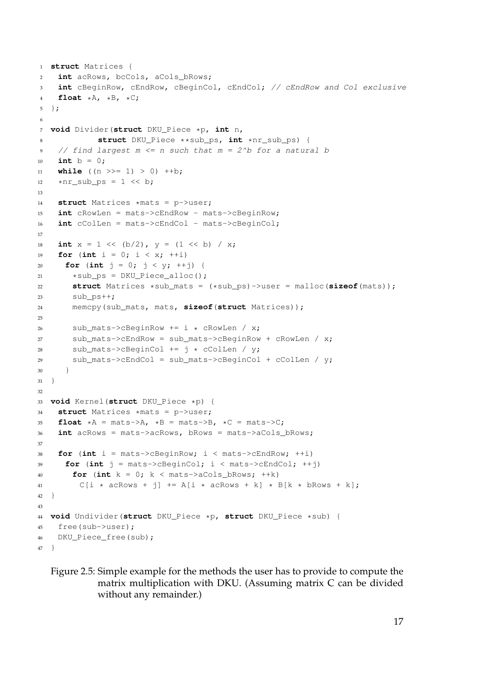```
1 struct Matrices {
2 int acRows, bcCols, aCols bRows;
3 int cBeginRow, cEndRow, cBeginCol, cEndCol; // cEndRow and Col exclusive
4 float *A, *B, *C;
5 };
6
7 void Divider(struct DKU_Piece *p, int n,
8 struct DKU_Piece **sub_ps, int *nr_sub_ps) {
9 // find largest m \le n such that m = 2^b for a natural b
10 int b = 0;
11 while ((n >>= 1) > 0) ++b;
12 \starnr sub ps = 1 << b;
13
14 struct Matrices *mats = p->user;
15 int cRowLen = mats->cEndRow - mats->cBeginRow;
16 int cColLen = mats->cEndCol - mats->cBeginCol;
17
18 int x = 1 \ll (b/2), y = (1 \ll b) / x;
19 for (int i = 0; i < x; ++i)
20 for (int j = 0; j < y; ++j) {
21 *sub_ps = DKU_Piece_alloc();
22 struct Matrices *sub_mats = (*sub_ps)->user = malloc(sizeof(mats));
23 sub_ps++;
24 memcpy(sub_mats, mats, sizeof(struct Matrices));
25
26 sub_mats->cBeginRow += i * cRowLen / x;
27 sub mats->cEndRow = sub_mats->cBeginRow + cRowLen / x;
28 sub_mats->cBeginCol += j * cColLen / y;
29 sub_mats->cEndCol = sub_mats->cBeginCol + cColLen / y;
30 }
31 }
32
33 void Kernel(struct DKU_Piece *p) {
34 struct Matrices *mats = p->user;
35 float *A = \text{mats-}>\text{A}, *B = \text{mats-}>\text{B}, *C = \text{mats-}>\text{C};
36 int acRows = mats->acRows, bRows = mats->aCols_bRows;
37
38 for (int i = mats->cBeginRow; i < mats->cEndRow; ++i)
39 for (int j = mats->cBeginCol; i < mats->cEndCol; ++j)
40 for (int k = 0; k < max->aCols_bRows; ++k)
41 C[i * acRows + j] += A[i * acRows + k] * B[k * bRows + k];
42 \frac{1}{2}43
44 void Undivider(struct DKU_Piece *p, struct DKU_Piece *sub) {
45 free(sub->user);
46 DKU_Piece_free(sub);
47 }
```
Figure 2.5: Simple example for the methods the user has to provide to compute the matrix multiplication with DKU. (Assuming matrix C can be divided without any remainder.)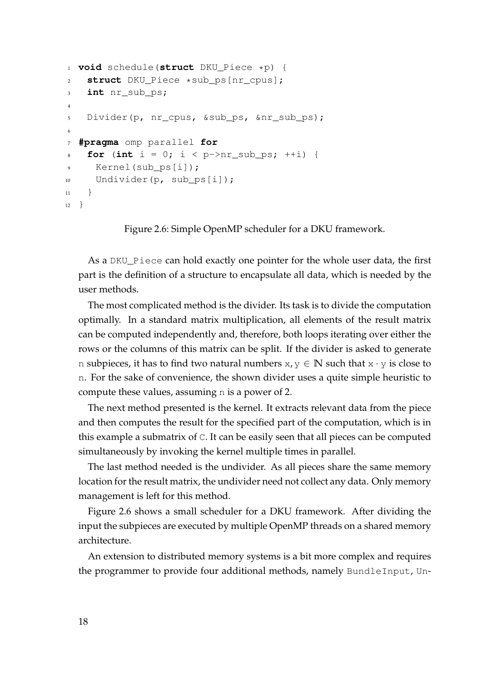```
1 void schedule(struct DKU_Piece *p) {
2 struct DKU_Piece *sub_ps[nr_cpus];
3 int nr_sub_ps;
4
5 Divider(p, nr_cpus, &sub_ps, &nr_sub_ps);
6
7 #pragma omp parallel for
8 for (int i = 0; i < p->nr_sub_ps; ++i) {
9 Kernel(sub ps[i]);
10 Undivider(p, sub_ps[i]);
11 \t\t \t12 }
```
Figure 2.6: Simple OpenMP scheduler for a DKU framework.

As a DKU\_Piece can hold exactly one pointer for the whole user data, the first part is the definition of a structure to encapsulate all data, which is needed by the user methods.

The most complicated method is the divider. Its task is to divide the computation optimally. In a standard matrix multiplication, all elements of the result matrix can be computed independently and, therefore, both loops iterating over either the rows or the columns of this matrix can be split. If the divider is asked to generate n subpieces, it has to find two natural numbers  $x, y \in \mathbb{N}$  such that  $x \cdot y$  is close to n. For the sake of convenience, the shown divider uses a quite simple heuristic to compute these values, assuming n is a power of 2.

The next method presented is the kernel. It extracts relevant data from the piece and then computes the result for the specified part of the computation, which is in this example a submatrix of C. It can be easily seen that all pieces can be computed simultaneously by invoking the kernel multiple times in parallel.

The last method needed is the undivider. As all pieces share the same memory location for the result matrix, the undivider need not collect any data. Only memory management is left for this method.

Figure [2.6](#page-17-0) shows a small scheduler for a DKU framework. After dividing the input the subpieces are executed by multiple OpenMP threads on a shared memory architecture.

An extension to distributed memory systems is a bit more complex and requires the programmer to provide four additional methods, namely BundleInput, Un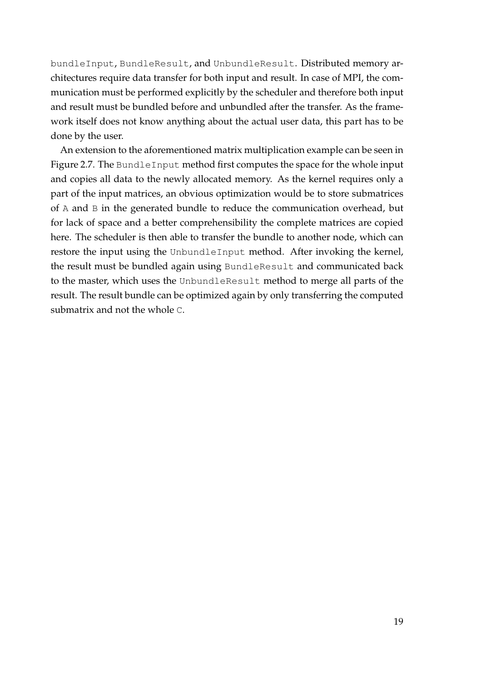bundleInput, BundleResult, and UnbundleResult. Distributed memory architectures require data transfer for both input and result. In case of MPI, the communication must be performed explicitly by the scheduler and therefore both input and result must be bundled before and unbundled after the transfer. As the framework itself does not know anything about the actual user data, this part has to be done by the user.

An extension to the aforementioned matrix multiplication example can be seen in Figure [2.7.](#page-19-0) The BundleInput method first computes the space for the whole input and copies all data to the newly allocated memory. As the kernel requires only a part of the input matrices, an obvious optimization would be to store submatrices of A and B in the generated bundle to reduce the communication overhead, but for lack of space and a better comprehensibility the complete matrices are copied here. The scheduler is then able to transfer the bundle to another node, which can restore the input using the UnbundleInput method. After invoking the kernel, the result must be bundled again using BundleResult and communicated back to the master, which uses the UnbundleResult method to merge all parts of the result. The result bundle can be optimized again by only transferring the computed submatrix and not the whole C.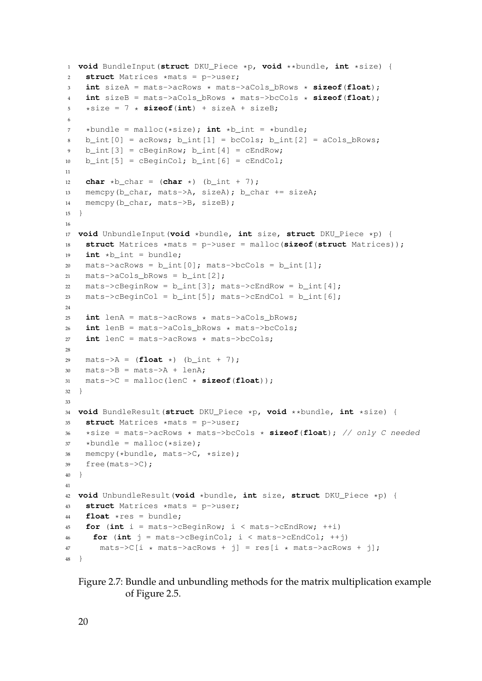```
1 void BundleInput(struct DKU_Piece *p, void **bundle, int *size) {
2 struct Matrices *mats = p->user;
3 int sizeA = mats->acRows * mats->aCols_bRows * sizeof(float);
4 int sizeB = mats->aCols_bRows * mats->bcCols * sizeof(float);
5 \star size = 7 \star sizeof(int) + sizeA + sizeB;
6
\frac{1}{7} *bundle = malloc(*size); int *b int = *bundle;
8 b int [0] = acRows; b int [1] = bcCols; b int [2] = aCols bRows;
9 b_int[3] = cBeginRow; b_int[4] = cEndRow;
10 b_int[5] = cBeginCol; b_int[6] = cEndCol;
11
12 char *B_{\text{char}} = (\text{char } * ) (b_int + 7);
13 memcpy(b_char, mats->A, sizeA); b_char += sizeA;
14 memcpy(b_char, mats->B, sizeB);
15 }
16
17 void UnbundleInput(void *bundle, int size, struct DKU_Piece *p) {
18 struct Matrices *mats = p->user = malloc(sizeof(struct Matrices));
19 int *b_int = bundle;
20 mats->acRows = b_int[0]; mats->bcCols = b_int[1];
21 mats->aCols_bRows = b_int[2];
22 mats->cBeginRow = b_int[3]; mats->cEndRow = b_int[4];
23 mats->cBeginCol = b_int[5]; mats->cEndCol = b_int[6];
24
25 int lenA = mats->acRows * mats->aCols bRows;
26 int lenB = mats->aCols_bRows * mats->bcCols;
27 int lenC = mats->acRows * mats->bcCols;
28
29 mats->A = (float *) (b_int + 7);
30 mats->B = mats->A + lenA;
31 mats->C = malloc(lenC * sizeof(float));
32 }
33
34 void BundleResult(struct DKU_Piece *p, void **bundle, int *size) {
35 struct Matrices *mats = p->user;
36 *size = mats->acRows * mats->bcCols * sizeof(float); // only C needed
37 *bundle = malloc(*size);
38 memcpy(*bundle, mats->C, *size);
39 free(mats->C);
40 }
41
42 void UnbundleResult(void *bundle, int size, struct DKU_Piece *p) {
43 struct Matrices *mats = p->user;
44 float *res = bundle;
45 for (int i = \text{mats}->cBeginRow; i < \text{mats}->cEndRow; +i)
46 for (int j = \text{mats}->cBeginCol; i < \text{mats}->cEndCol; ++j)
47 mats->C[i * mats->acRows + j] = res[i * mats->acRows + j];
48 }
```
#### Figure 2.7: Bundle and unbundling methods for the matrix multiplication example of Figure [2.5.](#page-16-0)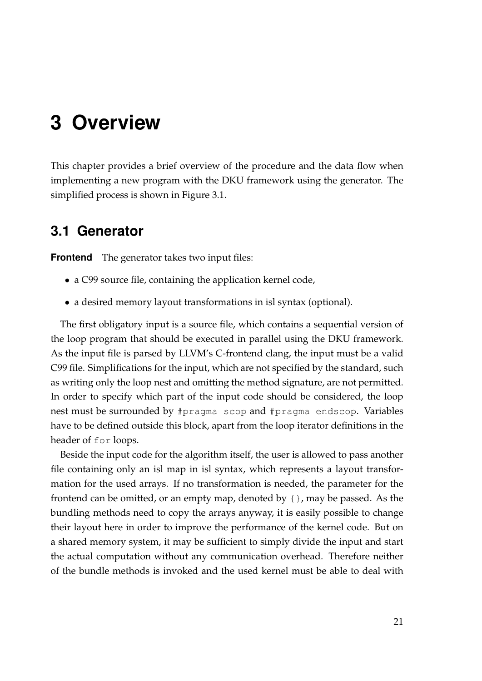### <span id="page-20-0"></span>**3 Overview**

This chapter provides a brief overview of the procedure and the data flow when implementing a new program with the DKU framework using the generator. The simplified process is shown in Figure [3.1.](#page-21-0)

#### <span id="page-20-1"></span>**3.1 Generator**

**Frontend** The generator takes two input files:

- a C99 source file, containing the application kernel code,
- a desired memory layout transformations in isl syntax (optional).

The first obligatory input is a source file, which contains a sequential version of the loop program that should be executed in parallel using the DKU framework. As the input file is parsed by LLVM's C-frontend clang, the input must be a valid C99 file. Simplifications for the input, which are not specified by the standard, such as writing only the loop nest and omitting the method signature, are not permitted. In order to specify which part of the input code should be considered, the loop nest must be surrounded by #pragma scop and #pragma endscop. Variables have to be defined outside this block, apart from the loop iterator definitions in the header of for loops.

Beside the input code for the algorithm itself, the user is allowed to pass another file containing only an isl map in isl syntax, which represents a layout transformation for the used arrays. If no transformation is needed, the parameter for the frontend can be omitted, or an empty map, denoted by {}, may be passed. As the bundling methods need to copy the arrays anyway, it is easily possible to change their layout here in order to improve the performance of the kernel code. But on a shared memory system, it may be sufficient to simply divide the input and start the actual computation without any communication overhead. Therefore neither of the bundle methods is invoked and the used kernel must be able to deal with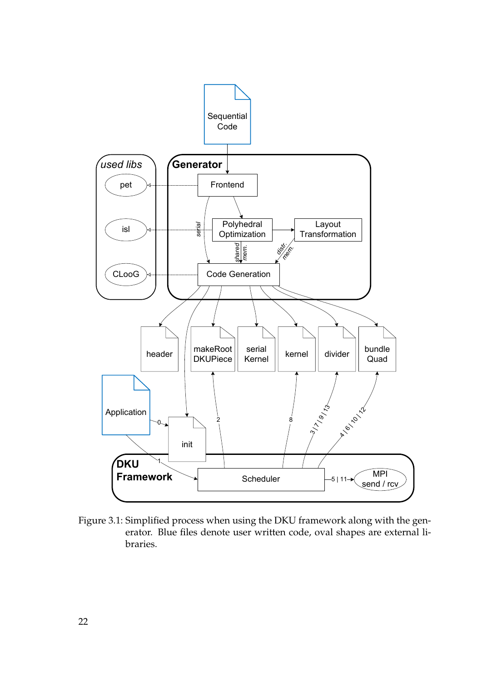<span id="page-21-0"></span>

Figure 3.1: Simplified process when using the DKU framework along with the generator. Blue files denote user written code, oval shapes are external libraries.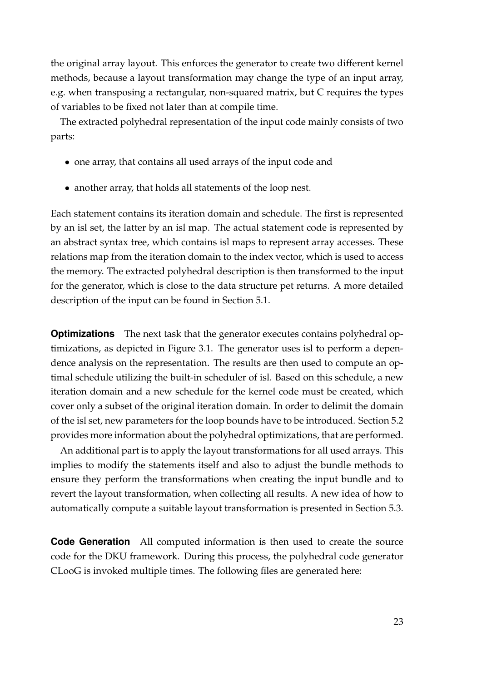the original array layout. This enforces the generator to create two different kernel methods, because a layout transformation may change the type of an input array, e.g. when transposing a rectangular, non-squared matrix, but C requires the types of variables to be fixed not later than at compile time.

The extracted polyhedral representation of the input code mainly consists of two parts:

- one array, that contains all used arrays of the input code and
- another array, that holds all statements of the loop nest.

Each statement contains its iteration domain and schedule. The first is represented by an isl set, the latter by an isl map. The actual statement code is represented by an abstract syntax tree, which contains isl maps to represent array accesses. These relations map from the iteration domain to the index vector, which is used to access the memory. The extracted polyhedral description is then transformed to the input for the generator, which is close to the data structure pet returns. A more detailed description of the input can be found in Section [5.1.](#page-30-1)

**Optimizations** The next task that the generator executes contains polyhedral optimizations, as depicted in Figure [3.1.](#page-21-0) The generator uses isl to perform a dependence analysis on the representation. The results are then used to compute an optimal schedule utilizing the built-in scheduler of isl. Based on this schedule, a new iteration domain and a new schedule for the kernel code must be created, which cover only a subset of the original iteration domain. In order to delimit the domain of the isl set, new parameters for the loop bounds have to be introduced. Section [5.2](#page-32-0) provides more information about the polyhedral optimizations, that are performed.

An additional part is to apply the layout transformations for all used arrays. This implies to modify the statements itself and also to adjust the bundle methods to ensure they perform the transformations when creating the input bundle and to revert the layout transformation, when collecting all results. A new idea of how to automatically compute a suitable layout transformation is presented in Section [5.3.](#page-37-0)

**Code Generation** All computed information is then used to create the source code for the DKU framework. During this process, the polyhedral code generator CLooG is invoked multiple times. The following files are generated here: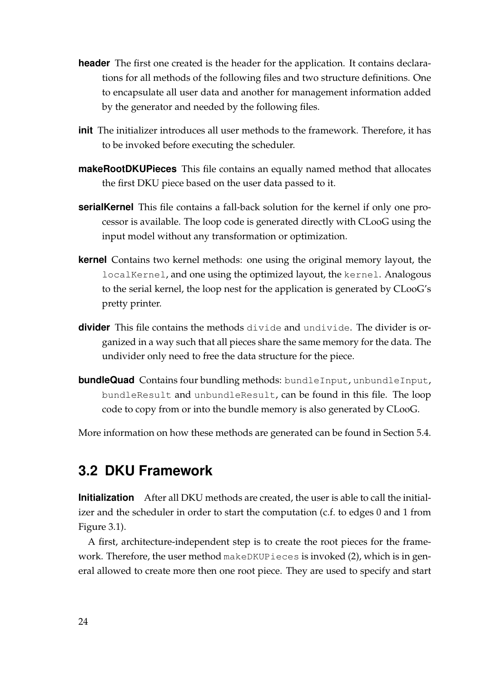- **header** The first one created is the header for the application. It contains declarations for all methods of the following files and two structure definitions. One to encapsulate all user data and another for management information added by the generator and needed by the following files.
- **init** The initializer introduces all user methods to the framework. Therefore, it has to be invoked before executing the scheduler.
- **makeRootDKUPieces** This file contains an equally named method that allocates the first DKU piece based on the user data passed to it.
- **serialKernel** This file contains a fall-back solution for the kernel if only one processor is available. The loop code is generated directly with CLooG using the input model without any transformation or optimization.
- **kernel** Contains two kernel methods: one using the original memory layout, the localKernel, and one using the optimized layout, the kernel. Analogous to the serial kernel, the loop nest for the application is generated by CLooG's pretty printer.
- **divider** This file contains the methods divide and undivide. The divider is organized in a way such that all pieces share the same memory for the data. The undivider only need to free the data structure for the piece.
- **bundleQuad** Contains four bundling methods: bundleInput, unbundleInput, bundleResult and unbundleResult, can be found in this file. The loop code to copy from or into the bundle memory is also generated by CLooG.

More information on how these methods are generated can be found in Section [5.4.](#page-39-0)

#### <span id="page-23-0"></span>**3.2 DKU Framework**

**Initialization** After all DKU methods are created, the user is able to call the initializer and the scheduler in order to start the computation (c.f. to edges 0 and 1 from Figure [3.1\)](#page-21-0).

A first, architecture-independent step is to create the root pieces for the framework. Therefore, the user method makeDKUPieces is invoked (2), which is in general allowed to create more then one root piece. They are used to specify and start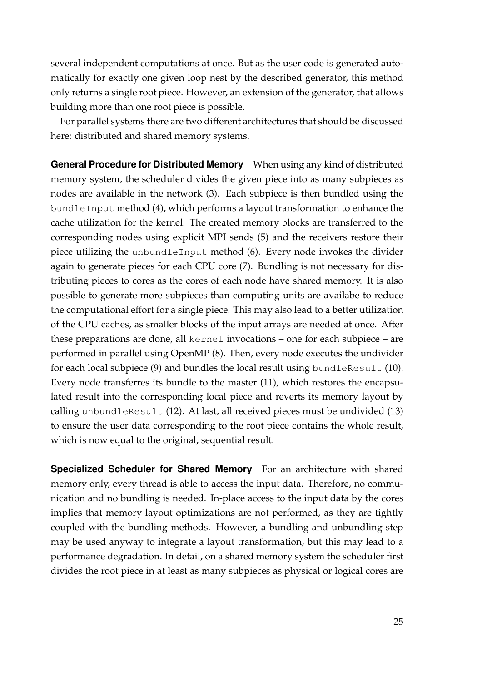several independent computations at once. But as the user code is generated automatically for exactly one given loop nest by the described generator, this method only returns a single root piece. However, an extension of the generator, that allows building more than one root piece is possible.

For parallel systems there are two different architectures that should be discussed here: distributed and shared memory systems.

**General Procedure for Distributed Memory** When using any kind of distributed memory system, the scheduler divides the given piece into as many subpieces as nodes are available in the network (3). Each subpiece is then bundled using the bundleInput method (4), which performs a layout transformation to enhance the cache utilization for the kernel. The created memory blocks are transferred to the corresponding nodes using explicit MPI sends (5) and the receivers restore their piece utilizing the unbundleInput method (6). Every node invokes the divider again to generate pieces for each CPU core (7). Bundling is not necessary for distributing pieces to cores as the cores of each node have shared memory. It is also possible to generate more subpieces than computing units are availabe to reduce the computational effort for a single piece. This may also lead to a better utilization of the CPU caches, as smaller blocks of the input arrays are needed at once. After these preparations are done, all kernel invocations – one for each subpiece – are performed in parallel using OpenMP (8). Then, every node executes the undivider for each local subpiece (9) and bundles the local result using bundleResult (10). Every node transferres its bundle to the master (11), which restores the encapsulated result into the corresponding local piece and reverts its memory layout by calling unbundleResult (12). At last, all received pieces must be undivided (13) to ensure the user data corresponding to the root piece contains the whole result, which is now equal to the original, sequential result.

**Specialized Scheduler for Shared Memory** For an architecture with shared memory only, every thread is able to access the input data. Therefore, no communication and no bundling is needed. In-place access to the input data by the cores implies that memory layout optimizations are not performed, as they are tightly coupled with the bundling methods. However, a bundling and unbundling step may be used anyway to integrate a layout transformation, but this may lead to a performance degradation. In detail, on a shared memory system the scheduler first divides the root piece in at least as many subpieces as physical or logical cores are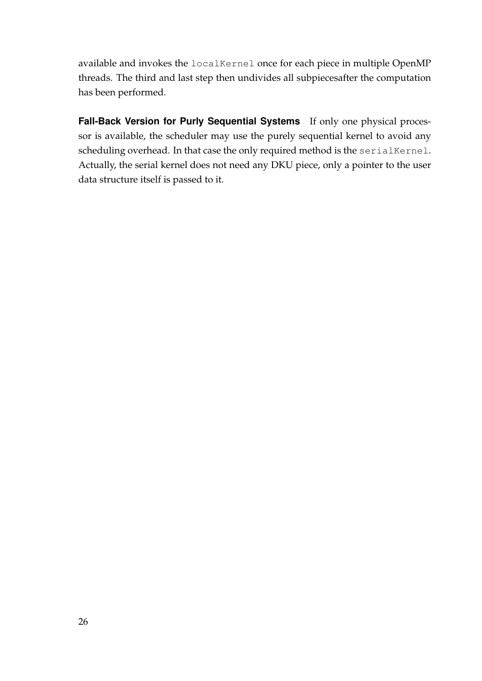available and invokes the localKernel once for each piece in multiple OpenMP threads. The third and last step then undivides all subpiecesafter the computation has been performed.

**Fall-Back Version for Purly Sequential Systems** If only one physical processor is available, the scheduler may use the purely sequential kernel to avoid any scheduling overhead. In that case the only required method is the serialKernel. Actually, the serial kernel does not need any DKU piece, only a pointer to the user data structure itself is passed to it.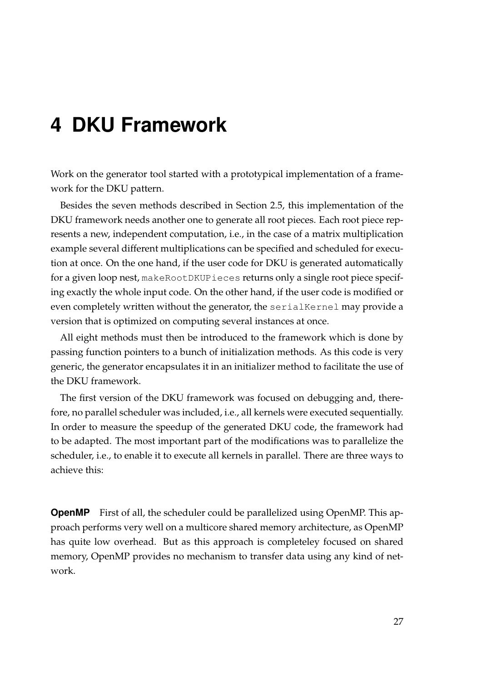## <span id="page-26-0"></span>**4 DKU Framework**

Work on the generator tool started with a prototypical implementation of a framework for the DKU pattern.

Besides the seven methods described in Section [2.5,](#page-15-0) this implementation of the DKU framework needs another one to generate all root pieces. Each root piece represents a new, independent computation, i.e., in the case of a matrix multiplication example several different multiplications can be specified and scheduled for execution at once. On the one hand, if the user code for DKU is generated automatically for a given loop nest, makeRootDKUPieces returns only a single root piece specifing exactly the whole input code. On the other hand, if the user code is modified or even completely written without the generator, the serialKernel may provide a version that is optimized on computing several instances at once.

All eight methods must then be introduced to the framework which is done by passing function pointers to a bunch of initialization methods. As this code is very generic, the generator encapsulates it in an initializer method to facilitate the use of the DKU framework.

The first version of the DKU framework was focused on debugging and, therefore, no parallel scheduler was included, i.e., all kernels were executed sequentially. In order to measure the speedup of the generated DKU code, the framework had to be adapted. The most important part of the modifications was to parallelize the scheduler, i.e., to enable it to execute all kernels in parallel. There are three ways to achieve this:

**OpenMP** First of all, the scheduler could be parallelized using OpenMP. This approach performs very well on a multicore shared memory architecture, as OpenMP has quite low overhead. But as this approach is completeley focused on shared memory, OpenMP provides no mechanism to transfer data using any kind of network.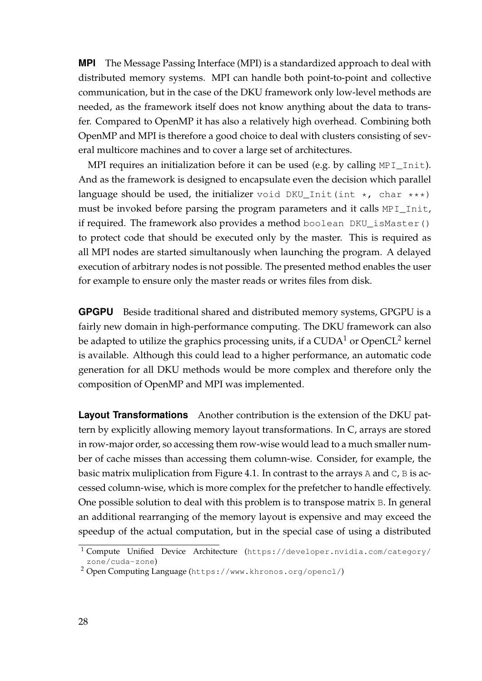**MPI** The Message Passing Interface (MPI) is a standardized approach to deal with distributed memory systems. MPI can handle both point-to-point and collective communication, but in the case of the DKU framework only low-level methods are needed, as the framework itself does not know anything about the data to transfer. Compared to OpenMP it has also a relatively high overhead. Combining both OpenMP and MPI is therefore a good choice to deal with clusters consisting of several multicore machines and to cover a large set of architectures.

MPI requires an initialization before it can be used (e.g. by calling MPI\_Init). And as the framework is designed to encapsulate even the decision which parallel language should be used, the initializer void DKU\_Init(int  $\star$ , char  $\star\star\star$ ) must be invoked before parsing the program parameters and it calls MPI\_Init, if required. The framework also provides a method boolean DKU\_isMaster() to protect code that should be executed only by the master. This is required as all MPI nodes are started simultanously when launching the program. A delayed execution of arbitrary nodes is not possible. The presented method enables the user for example to ensure only the master reads or writes files from disk.

**GPGPU** Beside traditional shared and distributed memory systems, GPGPU is a fairly new domain in high-performance computing. The DKU framework can also be adapted to utilize the graphics processing units, if a  $\text{CUDA}^1$  $\text{CUDA}^1$  or  $\text{OpenCL}^2$  $\text{OpenCL}^2$  kernel is available. Although this could lead to a higher performance, an automatic code generation for all DKU methods would be more complex and therefore only the composition of OpenMP and MPI was implemented.

**Layout Transformations** Another contribution is the extension of the DKU pattern by explicitly allowing memory layout transformations. In C, arrays are stored in row-major order, so accessing them row-wise would lead to a much smaller number of cache misses than accessing them column-wise. Consider, for example, the basic matrix muliplication from Figure [4.1.](#page-28-0) In contrast to the arrays A and C, B is accessed column-wise, which is more complex for the prefetcher to handle effectively. One possible solution to deal with this problem is to transpose matrix B. In general an additional rearranging of the memory layout is expensive and may exceed the speedup of the actual computation, but in the special case of using a distributed

<span id="page-27-0"></span><sup>1</sup> Compute Unified Device Architecture ([https://developer.nvidia.com/category/](https://developer.nvidia.com/category/zone/cuda-zone) [zone/cuda-zone](https://developer.nvidia.com/category/zone/cuda-zone))

<span id="page-27-1"></span><sup>2</sup> Open Computing Language (<https://www.khronos.org/opencl/>)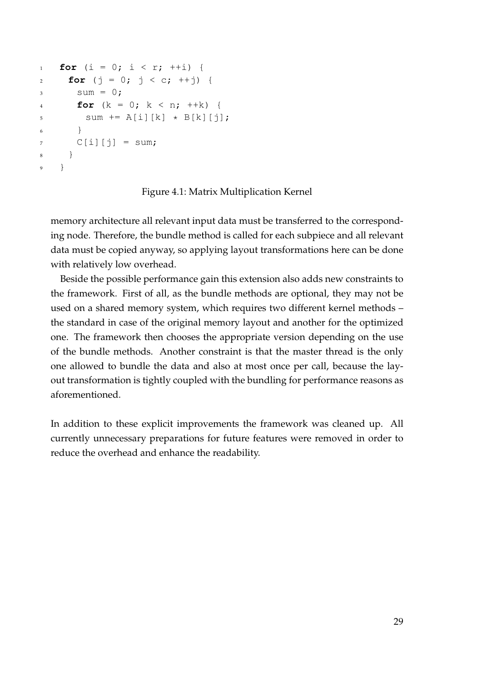```
1 for (i = 0; i < r; ++i) {
for (j = 0; j < c; ++j) {
sum = 0;4 for (k = 0; k < n; ++k) {
5 sum \ +\ =\ A[i][k] \ +\ B[k][j];6 }
7 \qquad C[i][j] = \text{sum};8 }
9 }
```
Figure 4.1: Matrix Multiplication Kernel

memory architecture all relevant input data must be transferred to the corresponding node. Therefore, the bundle method is called for each subpiece and all relevant data must be copied anyway, so applying layout transformations here can be done with relatively low overhead.

Beside the possible performance gain this extension also adds new constraints to the framework. First of all, as the bundle methods are optional, they may not be used on a shared memory system, which requires two different kernel methods – the standard in case of the original memory layout and another for the optimized one. The framework then chooses the appropriate version depending on the use of the bundle methods. Another constraint is that the master thread is the only one allowed to bundle the data and also at most once per call, because the layout transformation is tightly coupled with the bundling for performance reasons as aforementioned.

In addition to these explicit improvements the framework was cleaned up. All currently unnecessary preparations for future features were removed in order to reduce the overhead and enhance the readability.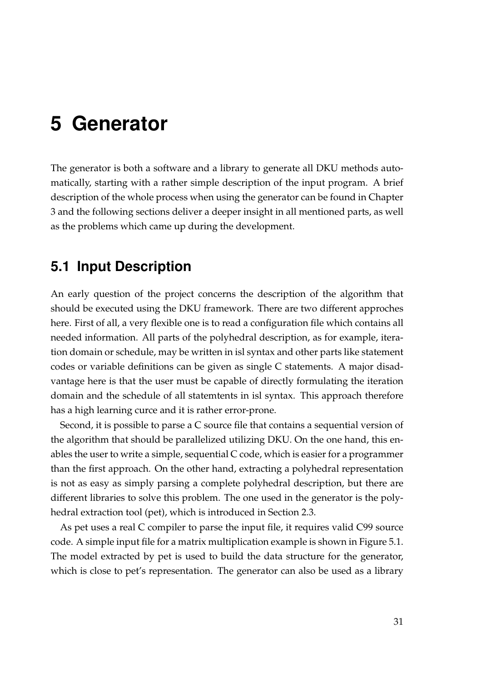### <span id="page-30-0"></span>**5 Generator**

The generator is both a software and a library to generate all DKU methods automatically, starting with a rather simple description of the input program. A brief description of the whole process when using the generator can be found in Chapter [3](#page-20-0) and the following sections deliver a deeper insight in all mentioned parts, as well as the problems which came up during the development.

#### <span id="page-30-1"></span>**5.1 Input Description**

An early question of the project concerns the description of the algorithm that should be executed using the DKU framework. There are two different approches here. First of all, a very flexible one is to read a configuration file which contains all needed information. All parts of the polyhedral description, as for example, iteration domain or schedule, may be written in isl syntax and other parts like statement codes or variable definitions can be given as single C statements. A major disadvantage here is that the user must be capable of directly formulating the iteration domain and the schedule of all statemtents in isl syntax. This approach therefore has a high learning curce and it is rather error-prone.

Second, it is possible to parse a C source file that contains a sequential version of the algorithm that should be parallelized utilizing DKU. On the one hand, this enables the user to write a simple, sequential C code, which is easier for a programmer than the first approach. On the other hand, extracting a polyhedral representation is not as easy as simply parsing a complete polyhedral description, but there are different libraries to solve this problem. The one used in the generator is the polyhedral extraction tool (pet), which is introduced in Section [2.3.](#page-12-0)

As pet uses a real C compiler to parse the input file, it requires valid C99 source code. A simple input file for a matrix multiplication example is shown in Figure [5.1.](#page-31-0) The model extracted by pet is used to build the data structure for the generator, which is close to pet's representation. The generator can also be used as a library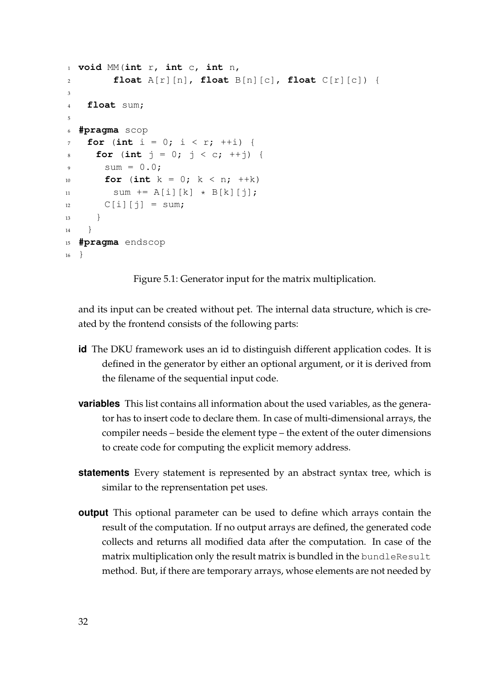```
1 void MM(int r, int c, int n,
2 float A[r][n], float B[n][c], float C[r][c]) {
3
4 float sum;
5
6 #pragma scop
    for (int i = 0; i < r; ++i) {
8 for (int j = 0; j < c; ++j) {
9 sum = 0.0;
10 for (int k = 0; k < n; ++k)
11 sum \ +\ = \ A[i][k] \ \star \ B[k][j];
\text{C}[i][j] = \text{sum};13 }
14 }
15 #pragma endscop
16 }
```
Figure 5.1: Generator input for the matrix multiplication.

and its input can be created without pet. The internal data structure, which is created by the frontend consists of the following parts:

- **id** The DKU framework uses an id to distinguish different application codes. It is defined in the generator by either an optional argument, or it is derived from the filename of the sequential input code.
- **variables** This list contains all information about the used variables, as the generator has to insert code to declare them. In case of multi-dimensional arrays, the compiler needs – beside the element type – the extent of the outer dimensions to create code for computing the explicit memory address.
- **statements** Every statement is represented by an abstract syntax tree, which is similar to the reprensentation pet uses.
- **output** This optional parameter can be used to define which arrays contain the result of the computation. If no output arrays are defined, the generated code collects and returns all modified data after the computation. In case of the matrix multiplication only the result matrix is bundled in the bundleResult method. But, if there are temporary arrays, whose elements are not needed by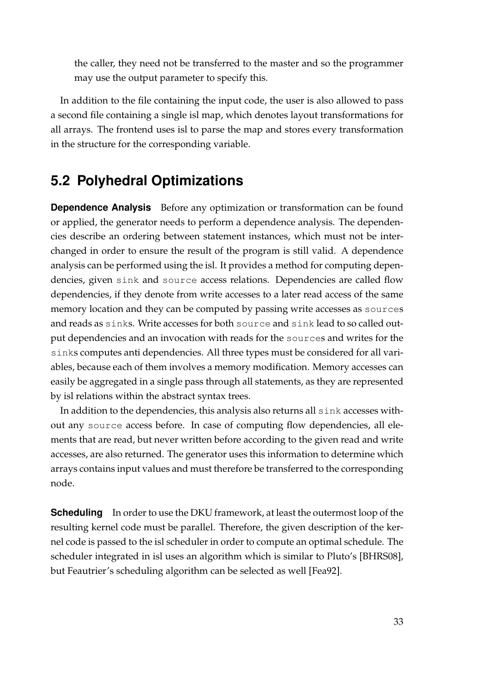the caller, they need not be transferred to the master and so the programmer may use the output parameter to specify this.

In addition to the file containing the input code, the user is also allowed to pass a second file containing a single isl map, which denotes layout transformations for all arrays. The frontend uses isl to parse the map and stores every transformation in the structure for the corresponding variable.

### <span id="page-32-0"></span>**5.2 Polyhedral Optimizations**

**Dependence Analysis** Before any optimization or transformation can be found or applied, the generator needs to perform a dependence analysis. The dependencies describe an ordering between statement instances, which must not be interchanged in order to ensure the result of the program is still valid. A dependence analysis can be performed using the isl. It provides a method for computing dependencies, given sink and source access relations. Dependencies are called flow dependencies, if they denote from write accesses to a later read access of the same memory location and they can be computed by passing write accesses as sources and reads as sinks. Write accesses for both source and sink lead to so called output dependencies and an invocation with reads for the sources and writes for the sinks computes anti dependencies. All three types must be considered for all variables, because each of them involves a memory modification. Memory accesses can easily be aggregated in a single pass through all statements, as they are represented by isl relations within the abstract syntax trees.

In addition to the dependencies, this analysis also returns all sink accesses without any source access before. In case of computing flow dependencies, all elements that are read, but never written before according to the given read and write accesses, are also returned. The generator uses this information to determine which arrays contains input values and must therefore be transferred to the corresponding node.

**Scheduling** In order to use the DKU framework, at least the outermost loop of the resulting kernel code must be parallel. Therefore, the given description of the kernel code is passed to the isl scheduler in order to compute an optimal schedule. The scheduler integrated in isl uses an algorithm which is similar to Pluto's [\[BHRS08\]](#page-82-8), but Feautrier's scheduling algorithm can be selected as well [\[Fea92\]](#page-82-9).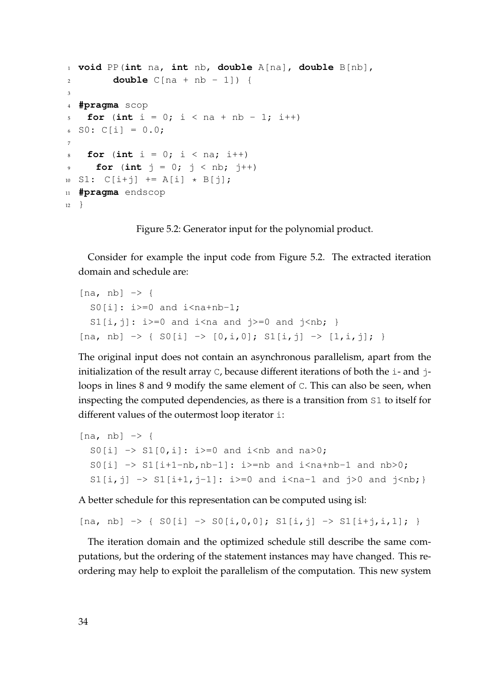```
1 void PP(int na, int nb, double A[na], double B[nb],
2 double C[na + nb - 1]) {
3
4 #pragma scop
   for (int i = 0; i < na + nb - 1; i++)6 SO: C[i] = 0.0;7
for (int i = 0; i < na; i++)9 for (int j = 0; j < nb; j++)10 S1: C[i+j] += A[i] * B[j];
11 #pragma endscop
12 }
```
Figure 5.2: Generator input for the polynomial product.

Consider for example the input code from Figure [5.2.](#page-33-0) The extracted iteration domain and schedule are:

```
[na, nb] \rightarrow {
 S0[i]: i>=0 and i<na+nb-1;
 S1[i, j]: i>=0 and i<na and j>=0 and j<nb; }
[na, nb] -> { S0[i] -> [0,i,0]; SI[i,j] -> [1,i,j]; }
```
The original input does not contain an asynchronous parallelism, apart from the initialization of the result array  $\circ$ , because different iterations of both the i- and jloops in lines 8 and 9 modify the same element of C. This can also be seen, when inspecting the computed dependencies, as there is a transition from S1 to itself for different values of the outermost loop iterator i:

```
[na, nb] \rightarrow {
  S0[i] \rightarrow SI[0,i]: i>=0 and i<nb and na>0;
  S0[i] \rightarrow SI[i+1-nb,nb-1]: i>=nb and i<sub>n</sub>ab-1 and nb>0;S1[i,j] \rightarrow SI[i+1,j-1]: i>=0 and i<sub>1</sub>-1 and j>0 and j<sub>1</sub> and j<sub>2</sub>
```
A better schedule for this representation can be computed using isl:

 $[na, nb] \rightarrow \{ SO[i] \rightarrow SO[i, 0, 0]; SU[i, j] \rightarrow SU[i+j, i, 1]; \}$ 

The iteration domain and the optimized schedule still describe the same computations, but the ordering of the statement instances may have changed. This reordering may help to exploit the parallelism of the computation. This new system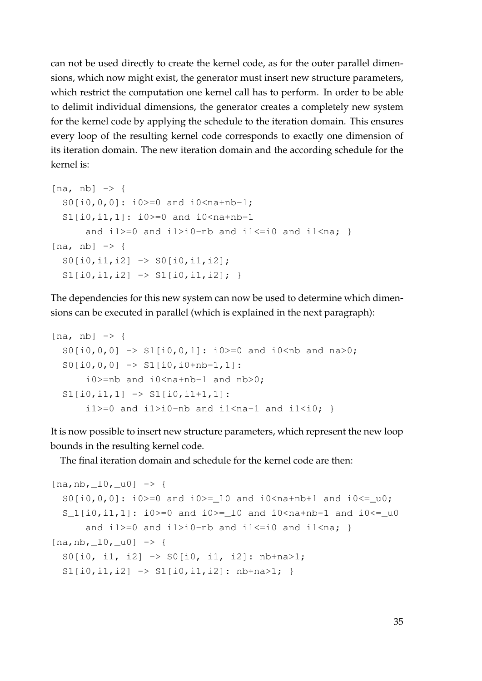can not be used directly to create the kernel code, as for the outer parallel dimensions, which now might exist, the generator must insert new structure parameters, which restrict the computation one kernel call has to perform. In order to be able to delimit individual dimensions, the generator creates a completely new system for the kernel code by applying the schedule to the iteration domain. This ensures every loop of the resulting kernel code corresponds to exactly one dimension of its iteration domain. The new iteration domain and the according schedule for the kernel is:

```
[na, nb] \rightarrow {
  S0[i0, 0, 0]: i0 >= 0 and i0 < n a + nb - 1;S1[i0,i1,1]: i0>=0 and i0<na+nb-1
       and i1>=0 and i1>i0-nb and i1<=i0 and i1<na; }
[na, nb] \rightarrow {
  S0[i0, i1, i2] \rightarrow S0[i0, i1, i2];S1[i0, i1, i2] \rightarrow S1[i0, i1, i2];
```
The dependencies for this new system can now be used to determine which dimensions can be executed in parallel (which is explained in the next paragraph):

```
[na, nb] \rightarrow {
  S0[i0, 0, 0] \rightarrow SI[i0, 0, 1]: i0>=0 and i0<nb and na>0;
  S0[i0, 0, 0] \rightarrow SI[i0, i0+nb-1, 1]:
       i0 >=nb and i0 <na+nb-1 and nb >0;
  S1[i0,i1,1] \rightarrow S1[i0,i1+1,1]:
       i1>=0 and i1>i0-nb and i1<na-1 and i1<io; }
```
It is now possible to insert new structure parameters, which represent the new loop bounds in the resulting kernel code.

The final iteration domain and schedule for the kernel code are then:

```
[na, nb, _10, _u0] -> {
  S0[i0,0,0]: i0>=0 and i0>=10 and i0<sub>0</sub> and i0<sub>0</sub> and i0<sub>0</sub>S_1[i0, i1, 1]: i0 >= 0 and i0 >= 10 and i0 < n a + nb - 1 and i0 < =_ u0and i1>=0 and i1>i0-nb and i1<=i0 and i1<na; }
[na, nb, _10, _u0] -> {
  S0[i0, i1, i2] -> S0[i0, i1, i2]: nb+na>1;
  S1[i0,i1,i2] \rightarrow SI[i0,i1,i2]: nb+na>1; }
```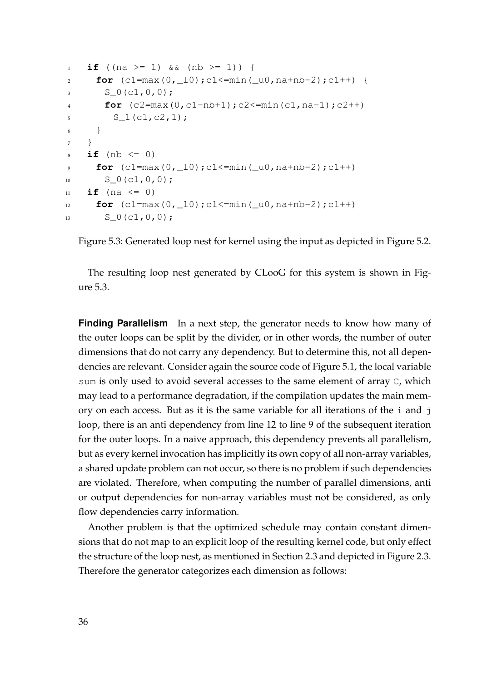```
1 if ((na >= 1) \&\& (nb >= 1)) {
2 for (c1=max(0,_l0);c1<=min(_u0,na+nb-2);c1++) {
S_0(c1,0,0);for (c2 = max(0, c1 - nb + 1); c2 \le min(c1, na - 1); c2++)S_1(c1,c2,1);6 }
    7 }
8 if (nb <= 0)
9 for (c1=max(0,_l0);c1<=min(_u0,na+nb-2);c1++)
_{10} S_0(c1,0,0);11 if (na \leq 0)
12 for (cl = max(0, 10); cl < = min(10, nathb-2); cl++)13 S_0(c1,0,0);
```
Figure 5.3: Generated loop nest for kernel using the input as depicted in Figure [5.2.](#page-33-0)

The resulting loop nest generated by CLooG for this system is shown in Figure [5.3.](#page-35-0)

**Finding Parallelism** In a next step, the generator needs to know how many of the outer loops can be split by the divider, or in other words, the number of outer dimensions that do not carry any dependency. But to determine this, not all dependencies are relevant. Consider again the source code of Figure [5.1,](#page-31-0) the local variable sum is only used to avoid several accesses to the same element of array C, which may lead to a performance degradation, if the compilation updates the main memory on each access. But as it is the same variable for all iterations of the  $\pm$  and  $\pm$ loop, there is an anti dependency from line 12 to line 9 of the subsequent iteration for the outer loops. In a naive approach, this dependency prevents all parallelism, but as every kernel invocation has implicitly its own copy of all non-array variables, a shared update problem can not occur, so there is no problem if such dependencies are violated. Therefore, when computing the number of parallel dimensions, anti or output dependencies for non-array variables must not be considered, as only flow dependencies carry information.

Another problem is that the optimized schedule may contain constant dimensions that do not map to an explicit loop of the resulting kernel code, but only effect the structure of the loop nest, as mentioned in Section [2.3](#page-12-0) and depicted in Figure [2.3.](#page-13-0) Therefore the generator categorizes each dimension as follows: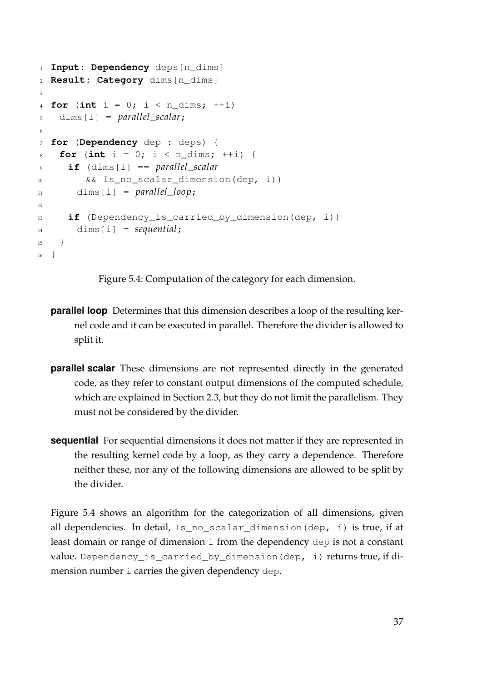```
1 Input: Dependency deps[n_dims]
2 Result: Category dims[n_dims]
3
4 for (int i = 0; i < n dims; +i)
5 dims[i] = parallel_scalar;
6
7 for (Dependency dep : deps) {
s for (int i = 0; i < n dims; +i) {
9 if (dims[i] == parallel_scalar
10 && Is_no_scalar_dimension(dep, i))
11 dims [i] = parallel loop;
12
13 if (Dependency_is_carried_by_dimension(dep, i))
14 dims[i] = sequential;
15 }
16 }
```
Figure 5.4: Computation of the category for each dimension.

- **parallel loop** Determines that this dimension describes a loop of the resulting kernel code and it can be executed in parallel. Therefore the divider is allowed to split it.
- **parallel scalar** These dimensions are not represented directly in the generated code, as they refer to constant output dimensions of the computed schedule, which are explained in Section [2.3,](#page-12-0) but they do not limit the parallelism. They must not be considered by the divider.
- **sequential** For sequential dimensions it does not matter if they are represented in the resulting kernel code by a loop, as they carry a dependence. Therefore neither these, nor any of the following dimensions are allowed to be split by the divider.

Figure [5.4](#page-36-0) shows an algorithm for the categorization of all dimensions, given all dependencies. In detail, Is\_no\_scalar\_dimension(dep, i) is true, if at least domain or range of dimension i from the dependency dep is not a constant value. Dependency\_is\_carried\_by\_dimension(dep, i) returns true, if dimension number i carries the given dependency dep.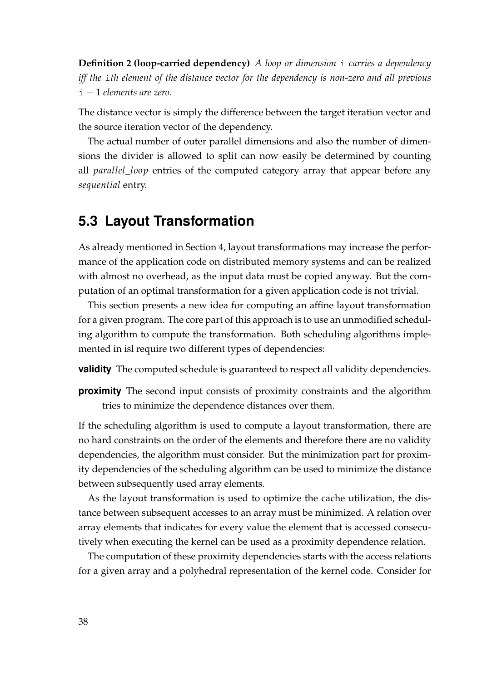**Definition 2 (loop-carried dependency)** *A loop or dimension* i *carries a dependency iff the* i*th element of the distance vector for the dependency is non-zero and all previous* i − 1 *elements are zero.*

The distance vector is simply the difference between the target iteration vector and the source iteration vector of the dependency.

The actual number of outer parallel dimensions and also the number of dimensions the divider is allowed to split can now easily be determined by counting all *parallel*\_*loop* entries of the computed category array that appear before any *sequential* entry.

## <span id="page-37-0"></span>**5.3 Layout Transformation**

As already mentioned in Section [4,](#page-26-0) layout transformations may increase the performance of the application code on distributed memory systems and can be realized with almost no overhead, as the input data must be copied anyway. But the computation of an optimal transformation for a given application code is not trivial.

This section presents a new idea for computing an affine layout transformation for a given program. The core part of this approach is to use an unmodified scheduling algorithm to compute the transformation. Both scheduling algorithms implemented in isl require two different types of dependencies:

**validity** The computed schedule is guaranteed to respect all validity dependencies.

**proximity** The second input consists of proximity constraints and the algorithm tries to minimize the dependence distances over them.

If the scheduling algorithm is used to compute a layout transformation, there are no hard constraints on the order of the elements and therefore there are no validity dependencies, the algorithm must consider. But the minimization part for proximity dependencies of the scheduling algorithm can be used to minimize the distance between subsequently used array elements.

As the layout transformation is used to optimize the cache utilization, the distance between subsequent accesses to an array must be minimized. A relation over array elements that indicates for every value the element that is accessed consecutively when executing the kernel can be used as a proximity dependence relation.

The computation of these proximity dependencies starts with the access relations for a given array and a polyhedral representation of the kernel code. Consider for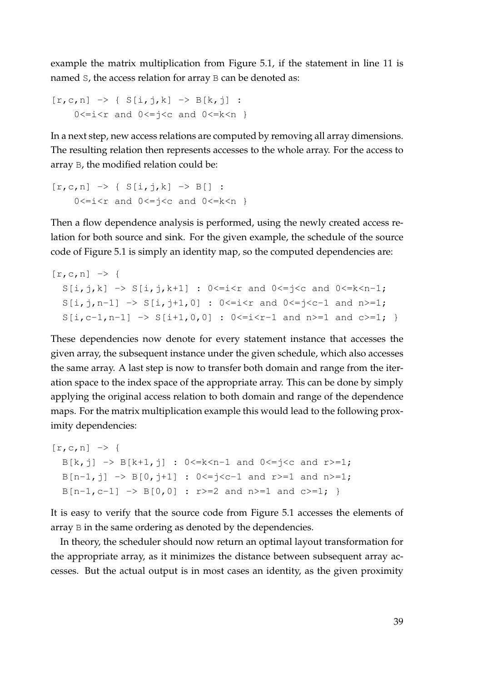example the matrix multiplication from Figure [5.1,](#page-31-0) if the statement in line 11 is named S, the access relation for array B can be denoted as:

```
[r, c, n] \rightarrow \{ S[i, j, k] \rightarrow B[k, j] :0 \le i \le r and 0 \le j \le c and 0 \le k \le n }
```
In a next step, new access relations are computed by removing all array dimensions. The resulting relation then represents accesses to the whole array. For the access to array B, the modified relation could be:

```
[r, c, n] \rightarrow \{ S[i, j, k] \rightarrow B[] :0 \le i \le r and 0 \le i \le c and 0 \le k \le n }
```
Then a flow dependence analysis is performed, using the newly created access relation for both source and sink. For the given example, the schedule of the source code of Figure [5.1](#page-31-0) is simply an identity map, so the computed dependencies are:

```
[r, c, n] \rightarrow \{S[i, j, k] \rightarrow S[i, j, k+1] : 0 \le i \le r and 0 \le j \le c and 0 \le k \le n-1;
   S[i,j,n-1] \rightarrow S[i,j+1,0] : 0 \le i \le r \text{ and } 0 \le j \le c-1 \text{ and } n \ge 1;S[i, c-1, n-1] \rightarrow S[i+1, 0, 0] : 0 \le i \le r-1 \text{ and } n \ge 1 \text{ and } c \ge 1;
```
These dependencies now denote for every statement instance that accesses the given array, the subsequent instance under the given schedule, which also accesses the same array. A last step is now to transfer both domain and range from the iteration space to the index space of the appropriate array. This can be done by simply applying the original access relation to both domain and range of the dependence maps. For the matrix multiplication example this would lead to the following proximity dependencies:

```
[r, c, n] \rightarrow \{B[k,j] \rightarrow B[k+1,j] : 0 <= k < n - 1 and 0 <= j < c and r > = 1;
  B[n-1,j] \rightarrow B[0,j+1] : 0 \le j \le -1 \text{ and } r \ge 1 \text{ and } n \ge 1;B[n-1, c-1] \rightarrow B[0, 0] : r>=2 and n>=1 and c>=1; }
```
It is easy to verify that the source code from Figure [5.1](#page-31-0) accesses the elements of array B in the same ordering as denoted by the dependencies.

In theory, the scheduler should now return an optimal layout transformation for the appropriate array, as it minimizes the distance between subsequent array accesses. But the actual output is in most cases an identity, as the given proximity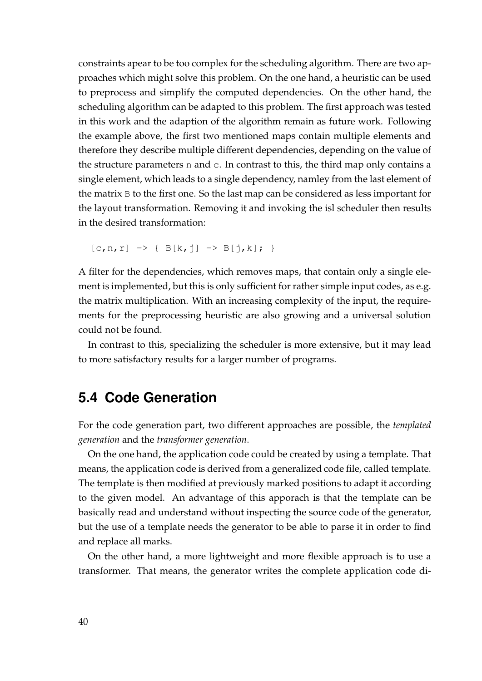constraints apear to be too complex for the scheduling algorithm. There are two approaches which might solve this problem. On the one hand, a heuristic can be used to preprocess and simplify the computed dependencies. On the other hand, the scheduling algorithm can be adapted to this problem. The first approach was tested in this work and the adaption of the algorithm remain as future work. Following the example above, the first two mentioned maps contain multiple elements and therefore they describe multiple different dependencies, depending on the value of the structure parameters n and c. In contrast to this, the third map only contains a single element, which leads to a single dependency, namley from the last element of the matrix B to the first one. So the last map can be considered as less important for the layout transformation. Removing it and invoking the isl scheduler then results in the desired transformation:

 $[c,n,r] \rightarrow \{ B[k,j] \rightarrow B[j,k]; \}$ 

A filter for the dependencies, which removes maps, that contain only a single element is implemented, but this is only sufficient for rather simple input codes, as e.g. the matrix multiplication. With an increasing complexity of the input, the requirements for the preprocessing heuristic are also growing and a universal solution could not be found.

In contrast to this, specializing the scheduler is more extensive, but it may lead to more satisfactory results for a larger number of programs.

## **5.4 Code Generation**

For the code generation part, two different approaches are possible, the *templated generation* and the *transformer generation*.

On the one hand, the application code could be created by using a template. That means, the application code is derived from a generalized code file, called template. The template is then modified at previously marked positions to adapt it according to the given model. An advantage of this apporach is that the template can be basically read and understand without inspecting the source code of the generator, but the use of a template needs the generator to be able to parse it in order to find and replace all marks.

On the other hand, a more lightweight and more flexible approach is to use a transformer. That means, the generator writes the complete application code di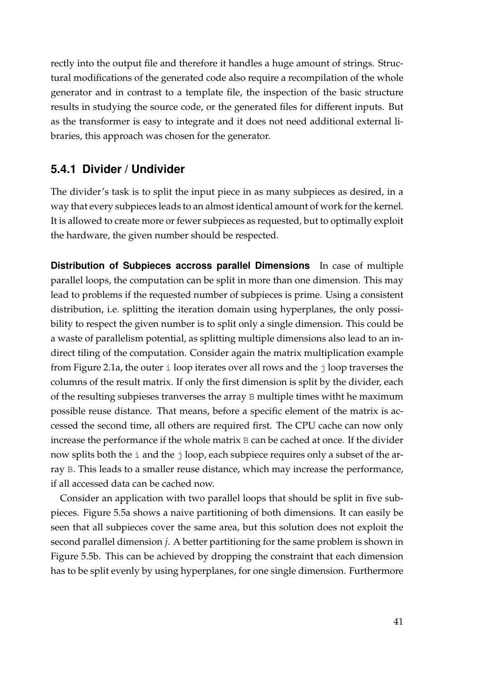rectly into the output file and therefore it handles a huge amount of strings. Structural modifications of the generated code also require a recompilation of the whole generator and in contrast to a template file, the inspection of the basic structure results in studying the source code, or the generated files for different inputs. But as the transformer is easy to integrate and it does not need additional external libraries, this approach was chosen for the generator.

### **5.4.1 Divider / Undivider**

The divider's task is to split the input piece in as many subpieces as desired, in a way that every subpieces leads to an almost identical amount of work for the kernel. It is allowed to create more or fewer subpieces as requested, but to optimally exploit the hardware, the given number should be respected.

**Distribution of Subpieces accross parallel Dimensions** In case of multiple parallel loops, the computation can be split in more than one dimension. This may lead to problems if the requested number of subpieces is prime. Using a consistent distribution, i.e. splitting the iteration domain using hyperplanes, the only possibility to respect the given number is to split only a single dimension. This could be a waste of parallelism potential, as splitting multiple dimensions also lead to an indirect tiling of the computation. Consider again the matrix multiplication example from Figure [2.1a,](#page-9-0) the outer i loop iterates over all rows and the  $\frac{1}{2}$  loop traverses the columns of the result matrix. If only the first dimension is split by the divider, each of the resulting subpieses tranverses the array B multiple times witht he maximum possible reuse distance. That means, before a specific element of the matrix is accessed the second time, all others are required first. The CPU cache can now only increase the performance if the whole matrix B can be cached at once. If the divider now splits both the i and the j loop, each subpiece requires only a subset of the array B. This leads to a smaller reuse distance, which may increase the performance, if all accessed data can be cached now.

Consider an application with two parallel loops that should be split in five subpieces. Figure [5.5a](#page-41-0) shows a naive partitioning of both dimensions. It can easily be seen that all subpieces cover the same area, but this solution does not exploit the second parallel dimension *j*. A better partitioning for the same problem is shown in Figure [5.5b.](#page-41-0) This can be achieved by dropping the constraint that each dimension has to be split evenly by using hyperplanes, for one single dimension. Furthermore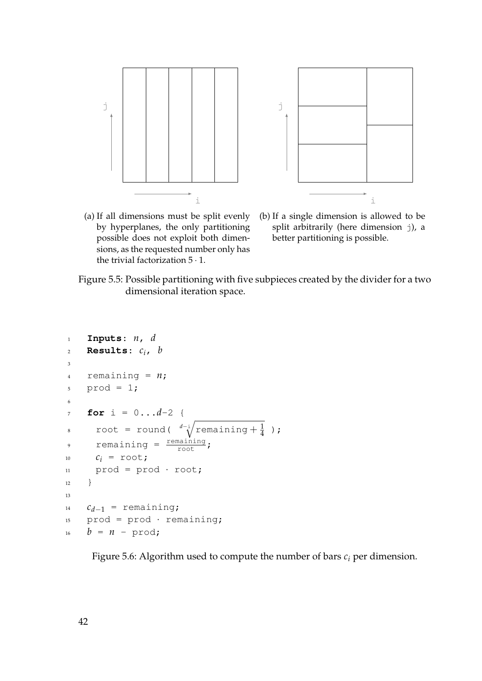<span id="page-41-0"></span>

(a) If all dimensions must be split evenly by hyperplanes, the only partitioning possible does not exploit both dimensions, as the requested number only has the trivial factorization  $5 \cdot 1$ .



Figure 5.5: Possible partitioning with five subpieces created by the divider for a two dimensional iteration space.

```
1 Inputs: n, d
2 Results: ci, b
3
4 remaining = n;
5 prod = 1;
6
7 for i = 0...d-2 {
s root = round(\sqrt[d-1]{\text{remaining} + \frac{1}{4}});
\frac{1}{9} remaining = \frac{\text{remaining}}{\text{root}};
10 c_i = \text{root};11 prod = prod · root;
12 }
13
14 cd−1 = remaining;
15 prod = prod · remaining;
b = n - \text{prod};
```
Figure 5.6: Algorithm used to compute the number of bars *c<sup>i</sup>* per dimension.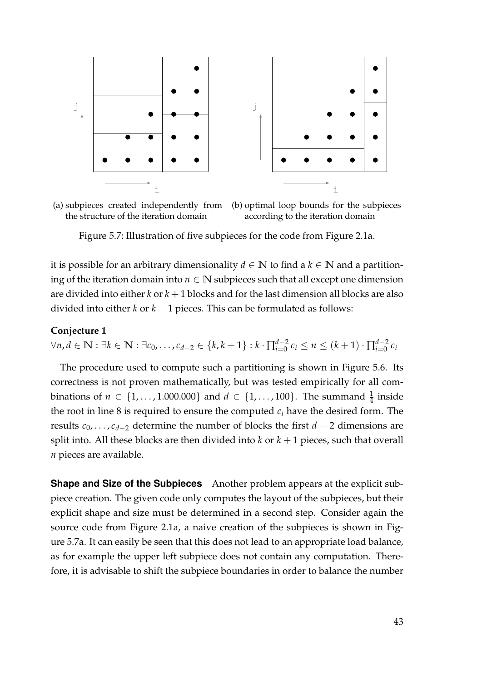<span id="page-42-0"></span>

(a) subpieces created independently from the structure of the iteration domain (b) optimal loop bounds for the subpieces according to the iteration domain

Figure 5.7: Illustration of five subpieces for the code from Figure [2.1a.](#page-9-0)

it is possible for an arbitrary dimensionality  $d \in \mathbb{N}$  to find a  $k \in \mathbb{N}$  and a partitioning of the iteration domain into  $n \in \mathbb{N}$  subpieces such that all except one dimension are divided into either  $k$  or  $k + 1$  blocks and for the last dimension all blocks are also divided into either  $k$  or  $k + 1$  pieces. This can be formulated as follows:

#### **Conjecture 1**

 $\forall n, d \in \mathbb{N}: \exists k \in \mathbb{N}: \exists c_0, \ldots, c_{d-2} \in \{k, k+1\}: k \cdot \prod_{i=0}^{d-2}$  $\sum_{i=0}^{d-2} c_i \leq n \leq (k+1) \cdot \prod_{i=0}^{d-2}$  $\sum_{i=0}^{a-2} c_i$ 

The procedure used to compute such a partitioning is shown in Figure [5.6.](#page-41-1) Its correctness is not proven mathematically, but was tested empirically for all combinations of  $n \in \{1, \ldots, 1.000.000\}$  and  $d \in \{1, \ldots, 100\}$ . The summand  $\frac{1}{4}$  inside the root in line 8 is required to ensure the computed  $c_i$  have the desired form. The results *c*0, . . . , *cd*−<sup>2</sup> determine the number of blocks the first *d* − 2 dimensions are split into. All these blocks are then divided into  $k$  or  $k + 1$  pieces, such that overall *n* pieces are available.

**Shape and Size of the Subpieces** Another problem appears at the explicit subpiece creation. The given code only computes the layout of the subpieces, but their explicit shape and size must be determined in a second step. Consider again the source code from Figure [2.1a,](#page-9-0) a naive creation of the subpieces is shown in Figure [5.7a.](#page-42-0) It can easily be seen that this does not lead to an appropriate load balance, as for example the upper left subpiece does not contain any computation. Therefore, it is advisable to shift the subpiece boundaries in order to balance the number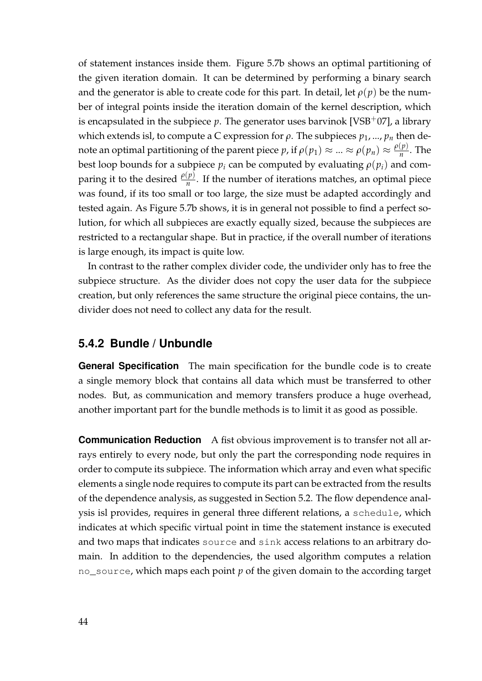of statement instances inside them. Figure [5.7b](#page-42-0) shows an optimal partitioning of the given iteration domain. It can be determined by performing a binary search and the generator is able to create code for this part. In detail, let  $\rho(p)$  be the number of integral points inside the iteration domain of the kernel description, which is encapsulated in the subpiece  $p$ . The generator uses barvinok [\[VSB](#page-83-0)<sup>+</sup>07], a library which extends isl, to compute a C expression for  $\rho$ . The subpieces  $p_1, ..., p_n$  then denote an optimal partitioning of the parent piece  $p$ , if  $\rho(p_1)\approx ... \approx \rho(p_n) \approx \frac{\rho(p)}{n}$  $\frac{(P)}{n}$ . The best loop bounds for a subpiece  $p_i$  can be computed by evaluating  $\rho(p_i)$  and comparing it to the desired  $\frac{\rho(p)}{n}$ . If the number of iterations matches, an optimal piece was found, if its too small or too large, the size must be adapted accordingly and tested again. As Figure [5.7b](#page-42-0) shows, it is in general not possible to find a perfect solution, for which all subpieces are exactly equally sized, because the subpieces are restricted to a rectangular shape. But in practice, if the overall number of iterations is large enough, its impact is quite low.

In contrast to the rather complex divider code, the undivider only has to free the subpiece structure. As the divider does not copy the user data for the subpiece creation, but only references the same structure the original piece contains, the undivider does not need to collect any data for the result.

### <span id="page-43-0"></span>**5.4.2 Bundle / Unbundle**

**General Specification** The main specification for the bundle code is to create a single memory block that contains all data which must be transferred to other nodes. But, as communication and memory transfers produce a huge overhead, another important part for the bundle methods is to limit it as good as possible.

**Communication Reduction** A fist obvious improvement is to transfer not all arrays entirely to every node, but only the part the corresponding node requires in order to compute its subpiece. The information which array and even what specific elements a single node requires to compute its part can be extracted from the results of the dependence analysis, as suggested in Section [5.2.](#page-32-0) The flow dependence analysis isl provides, requires in general three different relations, a schedule, which indicates at which specific virtual point in time the statement instance is executed and two maps that indicates source and sink access relations to an arbitrary domain. In addition to the dependencies, the used algorithm computes a relation no\_source, which maps each point *p* of the given domain to the according target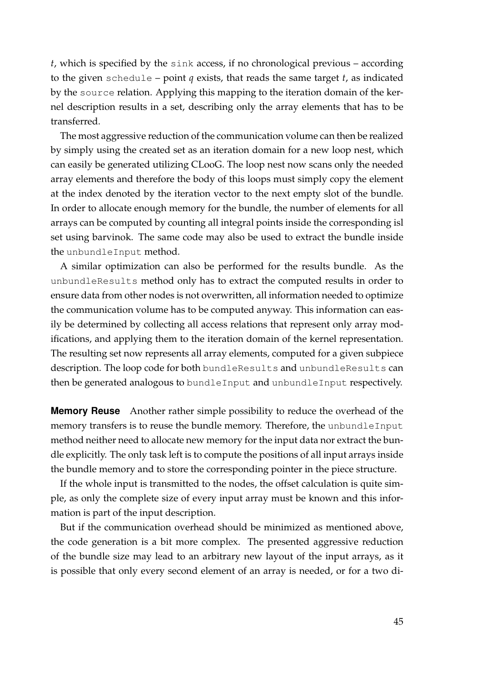*t*, which is specified by the sink access, if no chronological previous – according to the given schedule – point *q* exists, that reads the same target *t*, as indicated by the source relation. Applying this mapping to the iteration domain of the kernel description results in a set, describing only the array elements that has to be transferred.

The most aggressive reduction of the communication volume can then be realized by simply using the created set as an iteration domain for a new loop nest, which can easily be generated utilizing CLooG. The loop nest now scans only the needed array elements and therefore the body of this loops must simply copy the element at the index denoted by the iteration vector to the next empty slot of the bundle. In order to allocate enough memory for the bundle, the number of elements for all arrays can be computed by counting all integral points inside the corresponding isl set using barvinok. The same code may also be used to extract the bundle inside the unbundleInput method.

A similar optimization can also be performed for the results bundle. As the unbundleResults method only has to extract the computed results in order to ensure data from other nodes is not overwritten, all information needed to optimize the communication volume has to be computed anyway. This information can easily be determined by collecting all access relations that represent only array modifications, and applying them to the iteration domain of the kernel representation. The resulting set now represents all array elements, computed for a given subpiece description. The loop code for both bundleResults and unbundleResults can then be generated analogous to bundleInput and unbundleInput respectively.

**Memory Reuse** Another rather simple possibility to reduce the overhead of the memory transfers is to reuse the bundle memory. Therefore, the unbundleInput method neither need to allocate new memory for the input data nor extract the bundle explicitly. The only task left is to compute the positions of all input arrays inside the bundle memory and to store the corresponding pointer in the piece structure.

If the whole input is transmitted to the nodes, the offset calculation is quite simple, as only the complete size of every input array must be known and this information is part of the input description.

But if the communication overhead should be minimized as mentioned above, the code generation is a bit more complex. The presented aggressive reduction of the bundle size may lead to an arbitrary new layout of the input arrays, as it is possible that only every second element of an array is needed, or for a two di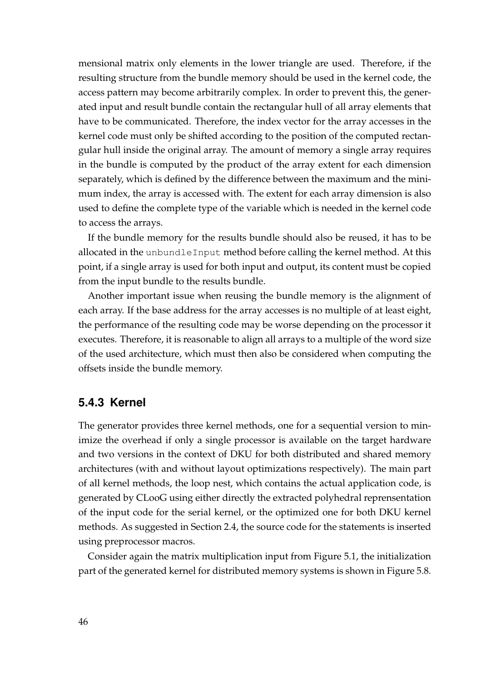mensional matrix only elements in the lower triangle are used. Therefore, if the resulting structure from the bundle memory should be used in the kernel code, the access pattern may become arbitrarily complex. In order to prevent this, the generated input and result bundle contain the rectangular hull of all array elements that have to be communicated. Therefore, the index vector for the array accesses in the kernel code must only be shifted according to the position of the computed rectangular hull inside the original array. The amount of memory a single array requires in the bundle is computed by the product of the array extent for each dimension separately, which is defined by the difference between the maximum and the minimum index, the array is accessed with. The extent for each array dimension is also used to define the complete type of the variable which is needed in the kernel code to access the arrays.

If the bundle memory for the results bundle should also be reused, it has to be allocated in the unbundleInput method before calling the kernel method. At this point, if a single array is used for both input and output, its content must be copied from the input bundle to the results bundle.

Another important issue when reusing the bundle memory is the alignment of each array. If the base address for the array accesses is no multiple of at least eight, the performance of the resulting code may be worse depending on the processor it executes. Therefore, it is reasonable to align all arrays to a multiple of the word size of the used architecture, which must then also be considered when computing the offsets inside the bundle memory.

### **5.4.3 Kernel**

The generator provides three kernel methods, one for a sequential version to minimize the overhead if only a single processor is available on the target hardware and two versions in the context of DKU for both distributed and shared memory architectures (with and without layout optimizations respectively). The main part of all kernel methods, the loop nest, which contains the actual application code, is generated by CLooG using either directly the extracted polyhedral reprensentation of the input code for the serial kernel, or the optimized one for both DKU kernel methods. As suggested in Section [2.4,](#page-14-0) the source code for the statements is inserted using preprocessor macros.

Consider again the matrix multiplication input from Figure [5.1,](#page-31-0) the initialization part of the generated kernel for distributed memory systems is shown in Figure [5.8.](#page-46-0)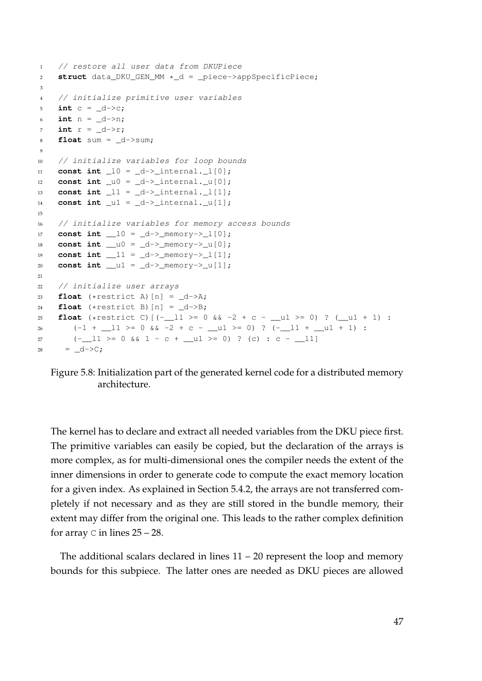```
1 // restore all user data from DKUPiece
2 struct data_DKU_GEN_MM *_d = _piece->appSpecificPiece;
3
4 // initialize primitive user variables
5 int c = -d - 2c;
6 int n = -d - \ln;
\mathbf{r} = \mathbf{d} \rightarrow \mathbf{r};
\text{8} float sum = d->sum;
9
10 // initialize variables for loop bounds
11 const int _l0 = _d->_internal._l[0];
12 const int \begin{bmatrix} 10 \\ -d \end{bmatrix} = \begin{bmatrix} -d \\ -d \end{bmatrix} = thermal. \begin{bmatrix} 0 \\ 1 \end{bmatrix};
13 const int \_11 = \_d - \geq \_internal.\_1[1];
14 const int ul = <math>d \rightarrow int internal.ul[1];
15
16 // initialize variables for memory access bounds
17 const int __10 = _d->_memory->_1[0];
18 const int \_\_u0 = \_\_d-\frac{1}{2} memory-\_\_u[0];19 const int __11 = _d->_memory->_1[1];
20 const int ul = d-\geq memory-\geq u[1];
21
22 // initialize user arrays
23 float (*\text{restrict A}) [n] = \underline{d} \rightarrow A;24 float (*\text{restrict B}) [n] = \underline{d} \rightarrow B;25 float (*restrict C) [(-11) = 0 66 -2 + c - 12] > 0 ? (u1 + 1) :
26 (-1 + 1 > = 0 & x -2 + c - 1 > = 0) ? (- 1 + 1 + 1) :
27 (-11 >= 0 & 2 - c + _u1 >= 0) ? (c) : c - _11]
28 = -d->C;
```
Figure 5.8: Initialization part of the generated kernel code for a distributed memory architecture.

The kernel has to declare and extract all needed variables from the DKU piece first. The primitive variables can easily be copied, but the declaration of the arrays is more complex, as for multi-dimensional ones the compiler needs the extent of the inner dimensions in order to generate code to compute the exact memory location for a given index. As explained in Section [5.4.2,](#page-43-0) the arrays are not transferred completely if not necessary and as they are still stored in the bundle memory, their extent may differ from the original one. This leads to the rather complex definition for array  $\textdegree$  in lines 25 – 28.

The additional scalars declared in lines  $11 - 20$  represent the loop and memory bounds for this subpiece. The latter ones are needed as DKU pieces are allowed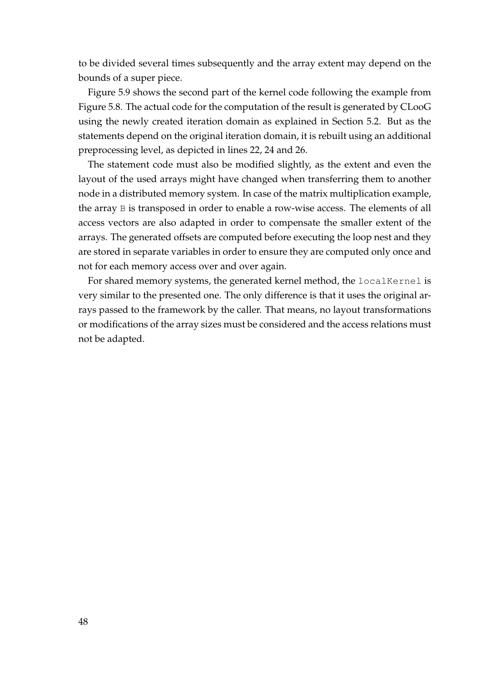to be divided several times subsequently and the array extent may depend on the bounds of a super piece.

Figure [5.9](#page-48-0) shows the second part of the kernel code following the example from Figure [5.8.](#page-46-0) The actual code for the computation of the result is generated by CLooG using the newly created iteration domain as explained in Section [5.2.](#page-32-0) But as the statements depend on the original iteration domain, it is rebuilt using an additional preprocessing level, as depicted in lines 22, 24 and 26.

The statement code must also be modified slightly, as the extent and even the layout of the used arrays might have changed when transferring them to another node in a distributed memory system. In case of the matrix multiplication example, the array B is transposed in order to enable a row-wise access. The elements of all access vectors are also adapted in order to compensate the smaller extent of the arrays. The generated offsets are computed before executing the loop nest and they are stored in separate variables in order to ensure they are computed only once and not for each memory access over and over again.

For shared memory systems, the generated kernel method, the localKernel is very similar to the presented one. The only difference is that it uses the original arrays passed to the framework by the caller. That means, no layout transformations or modifications of the array sizes must be considered and the access relations must not be adapted.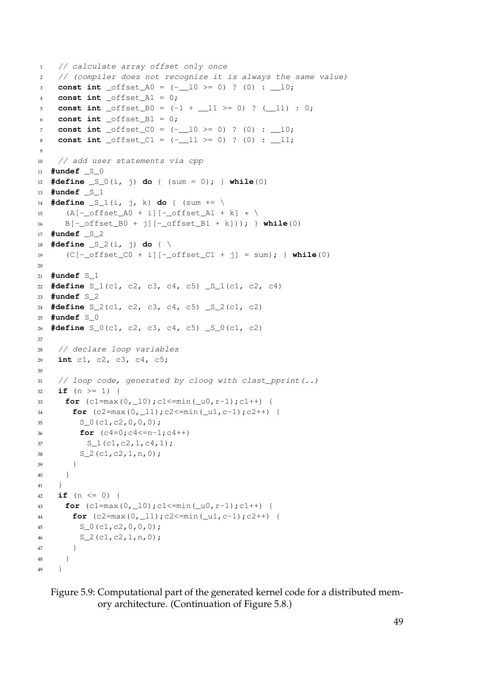```
1 // calculate array offset only once
2 // (compiler does not recognize it is always the same value)
3 const int _{0} _{0} _{0} _{0} _{1} _{0} _{1} _{0} _{1} _{0} _{1} _{0} _{1} _{0} _{1} _{0} _{1} _{0} _{1} _{0} _{1} _{0} _{1} _{0} _{1} _{0} _{1} _{1} _{0} _{1} _{0} _{1} _{0} _{1} _{04 const int _offset_A1 = 0;
5 const int _offset_B0 = (-1 + __l1 >= 0) ? (__l1) : 0;
6 const int _offset_B1 = 0;
7 const int offset CO = (-10 \ge 0) ? (0) : 10;
8 const int offset C1 = (-11) = 0) ? (0) : 11;
9
10 // add user statements via cpp
11 #undef _S_0
12 #define S = 0(i, j) do { (sum = 0); } while(0)
13 #undef _S_1
14 #define _S_1(i, j, k) do { (sum += \
15 (A[-\text{offset}\_A0 + i)][-\text{offset}\_A1 + k] \star \setminus16 B[-_offset_B0 + j][-_offset_B1 + k])); } while(0)
17 #undef _S_2
18 #define _S_2(i, j) do { \
19 (C[-_offset_C0 + i][-_offset_C1 + j] = sum); } while(0)
2021 #undef S_1
22 #define S_1(c1, c2, c3, c4, c5) _S_1(c1, c2, c4)
23 #undef S_2
24 #define S_2(c1, c2, c3, c4, c5) _S_2(c1, c2)
25 #undef S_0
26 #define S_0(c1, c2, c3, c4, c5) _S_0(c1, c2)
27
28 // declare loop variables
29 int c1, c2, c3, c4, c5;
30
31 // loop code, generated by cloog with clast_pprint(..)
32 if (n >= 1) {
33 for (c1=max(0,_l0);c1<=min(_u0,r-1);c1++) {
34 for (c2 = max(0, 11); c2 \le min(\underline{ul}, c-1); c2++) {
35 S 0(c1, c2, 0, 0, 0);36 for (c4=0;c4<=n-1;c4++)
S_1(c1, c2, 1, c4, 1);S_2(c1, c2, 1, n, 0);39 }
40 }
41 }
42 if (n <= 0) {
43 for (c1=max(0,_l0);c1<=min(_u0,r-1);c1++) {
44 for (c2=max(0,_l1);c2<=min(_u1,c-1);c2++) {
45 S_0(c1, c2, 0, 0, 0);46 S_2(c1, c2, 1, n, 0);47 }
48 }
49 }
```
Figure 5.9: Computational part of the generated kernel code for a distributed memory architecture. (Continuation of Figure [5.8.](#page-46-0))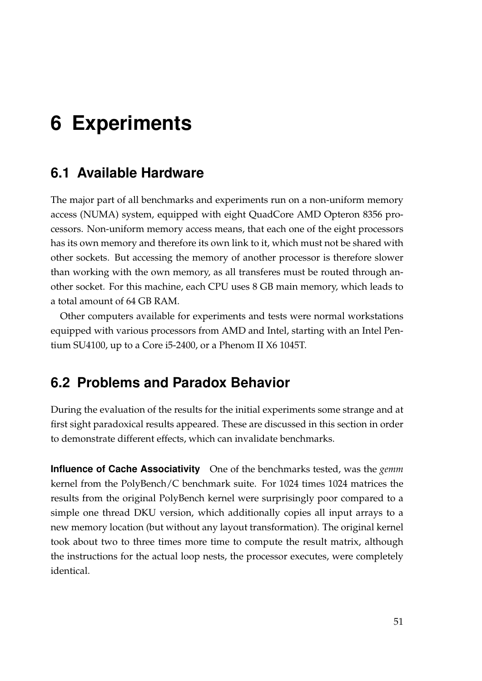# **6 Experiments**

# **6.1 Available Hardware**

The major part of all benchmarks and experiments run on a non-uniform memory access (NUMA) system, equipped with eight QuadCore AMD Opteron 8356 processors. Non-uniform memory access means, that each one of the eight processors has its own memory and therefore its own link to it, which must not be shared with other sockets. But accessing the memory of another processor is therefore slower than working with the own memory, as all transferes must be routed through another socket. For this machine, each CPU uses 8 GB main memory, which leads to a total amount of 64 GB RAM.

Other computers available for experiments and tests were normal workstations equipped with various processors from AMD and Intel, starting with an Intel Pentium SU4100, up to a Core i5-2400, or a Phenom II X6 1045T.

# **6.2 Problems and Paradox Behavior**

During the evaluation of the results for the initial experiments some strange and at first sight paradoxical results appeared. These are discussed in this section in order to demonstrate different effects, which can invalidate benchmarks.

**Influence of Cache Associativity** One of the benchmarks tested, was the *gemm* kernel from the PolyBench/C benchmark suite. For 1024 times 1024 matrices the results from the original PolyBench kernel were surprisingly poor compared to a simple one thread DKU version, which additionally copies all input arrays to a new memory location (but without any layout transformation). The original kernel took about two to three times more time to compute the result matrix, although the instructions for the actual loop nests, the processor executes, were completely identical.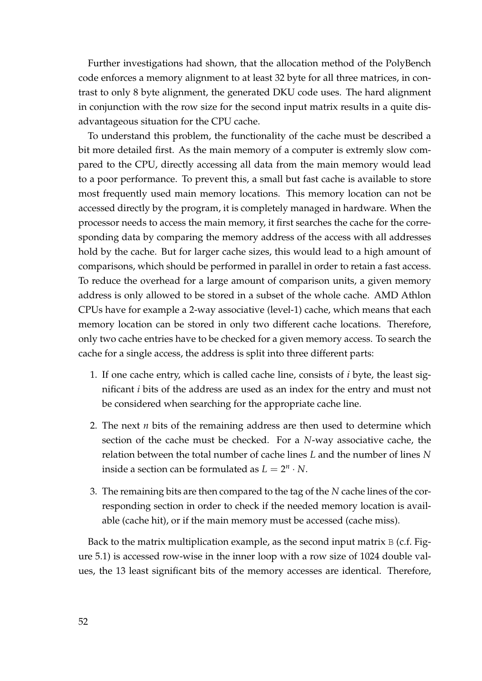Further investigations had shown, that the allocation method of the PolyBench code enforces a memory alignment to at least 32 byte for all three matrices, in contrast to only 8 byte alignment, the generated DKU code uses. The hard alignment in conjunction with the row size for the second input matrix results in a quite disadvantageous situation for the CPU cache.

To understand this problem, the functionality of the cache must be described a bit more detailed first. As the main memory of a computer is extremly slow compared to the CPU, directly accessing all data from the main memory would lead to a poor performance. To prevent this, a small but fast cache is available to store most frequently used main memory locations. This memory location can not be accessed directly by the program, it is completely managed in hardware. When the processor needs to access the main memory, it first searches the cache for the corresponding data by comparing the memory address of the access with all addresses hold by the cache. But for larger cache sizes, this would lead to a high amount of comparisons, which should be performed in parallel in order to retain a fast access. To reduce the overhead for a large amount of comparison units, a given memory address is only allowed to be stored in a subset of the whole cache. AMD Athlon CPUs have for example a 2-way associative (level-1) cache, which means that each memory location can be stored in only two different cache locations. Therefore, only two cache entries have to be checked for a given memory access. To search the cache for a single access, the address is split into three different parts:

- 1. If one cache entry, which is called cache line, consists of *i* byte, the least significant *i* bits of the address are used as an index for the entry and must not be considered when searching for the appropriate cache line.
- 2. The next *n* bits of the remaining address are then used to determine which section of the cache must be checked. For a *N*-way associative cache, the relation between the total number of cache lines *L* and the number of lines *N* inside a section can be formulated as  $L = 2^n \cdot N$ .
- 3. The remaining bits are then compared to the tag of the *N* cache lines of the corresponding section in order to check if the needed memory location is available (cache hit), or if the main memory must be accessed (cache miss).

Back to the matrix multiplication example, as the second input matrix  $\overline{B}$  (c.f. Figure [5.1\)](#page-31-0) is accessed row-wise in the inner loop with a row size of 1024 double values, the 13 least significant bits of the memory accesses are identical. Therefore,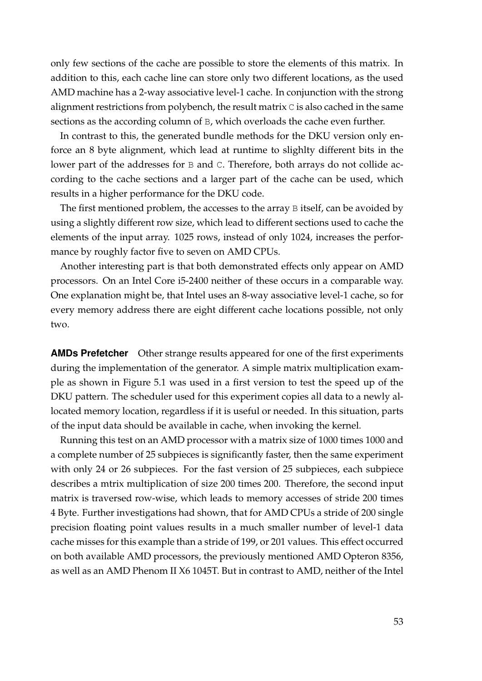only few sections of the cache are possible to store the elements of this matrix. In addition to this, each cache line can store only two different locations, as the used AMD machine has a 2-way associative level-1 cache. In conjunction with the strong alignment restrictions from polybench, the result matrix C is also cached in the same sections as the according column of B, which overloads the cache even further.

In contrast to this, the generated bundle methods for the DKU version only enforce an 8 byte alignment, which lead at runtime to slighlty different bits in the lower part of the addresses for B and C. Therefore, both arrays do not collide according to the cache sections and a larger part of the cache can be used, which results in a higher performance for the DKU code.

The first mentioned problem, the accesses to the array B itself, can be avoided by using a slightly different row size, which lead to different sections used to cache the elements of the input array. 1025 rows, instead of only 1024, increases the performance by roughly factor five to seven on AMD CPUs.

Another interesting part is that both demonstrated effects only appear on AMD processors. On an Intel Core i5-2400 neither of these occurs in a comparable way. One explanation might be, that Intel uses an 8-way associative level-1 cache, so for every memory address there are eight different cache locations possible, not only two.

**AMDs Prefetcher** Other strange results appeared for one of the first experiments during the implementation of the generator. A simple matrix multiplication example as shown in Figure [5.1](#page-31-0) was used in a first version to test the speed up of the DKU pattern. The scheduler used for this experiment copies all data to a newly allocated memory location, regardless if it is useful or needed. In this situation, parts of the input data should be available in cache, when invoking the kernel.

Running this test on an AMD processor with a matrix size of 1000 times 1000 and a complete number of 25 subpieces is significantly faster, then the same experiment with only 24 or 26 subpieces. For the fast version of 25 subpieces, each subpiece describes a mtrix multiplication of size 200 times 200. Therefore, the second input matrix is traversed row-wise, which leads to memory accesses of stride 200 times 4 Byte. Further investigations had shown, that for AMD CPUs a stride of 200 single precision floating point values results in a much smaller number of level-1 data cache misses for this example than a stride of 199, or 201 values. This effect occurred on both available AMD processors, the previously mentioned AMD Opteron 8356, as well as an AMD Phenom II X6 1045T. But in contrast to AMD, neither of the Intel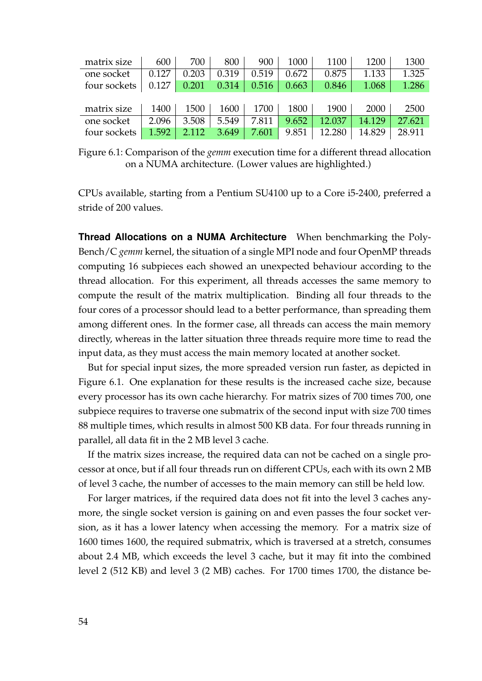<span id="page-53-0"></span>

| matrix size  | 600   | 700   | 800   | 900   | 1000  | 1100   | 1200   | 1300   |
|--------------|-------|-------|-------|-------|-------|--------|--------|--------|
| one socket   | 0.127 | 0.203 | 0.319 | 0.519 | 0.672 | 0.875  | 1.133  | 1.325  |
| four sockets | 0.127 | 0.201 | 0.314 | 0.516 | 0.663 | 0.846  | 1.068  | 1.286  |
|              |       |       |       |       |       |        |        |        |
| matrix size  | 1400  | 1500  | 1600  | 1700  | 1800  | 1900   | 2000   | 2500   |
| one socket   | 2.096 | 3.508 | 5.549 | 7.811 | 9.652 | 12.037 | 14.129 | 27.621 |
| four sockets | 1.592 | 2.112 | 3.649 | 7.601 | 9.851 | 12.280 | 14.829 | 28.911 |

Figure 6.1: Comparison of the *gemm* execution time for a different thread allocation on a NUMA architecture. (Lower values are highlighted.)

CPUs available, starting from a Pentium SU4100 up to a Core i5-2400, preferred a stride of 200 values.

<span id="page-53-1"></span>**Thread Allocations on a NUMA Architecture** When benchmarking the Poly-Bench/C *gemm* kernel, the situation of a single MPI node and four OpenMP threads computing 16 subpieces each showed an unexpected behaviour according to the thread allocation. For this experiment, all threads accesses the same memory to compute the result of the matrix multiplication. Binding all four threads to the four cores of a processor should lead to a better performance, than spreading them among different ones. In the former case, all threads can access the main memory directly, whereas in the latter situation three threads require more time to read the input data, as they must access the main memory located at another socket.

But for special input sizes, the more spreaded version run faster, as depicted in Figure [6.1.](#page-53-0) One explanation for these results is the increased cache size, because every processor has its own cache hierarchy. For matrix sizes of 700 times 700, one subpiece requires to traverse one submatrix of the second input with size 700 times 88 multiple times, which results in almost 500 KB data. For four threads running in parallel, all data fit in the 2 MB level 3 cache.

If the matrix sizes increase, the required data can not be cached on a single processor at once, but if all four threads run on different CPUs, each with its own 2 MB of level 3 cache, the number of accesses to the main memory can still be held low.

For larger matrices, if the required data does not fit into the level 3 caches anymore, the single socket version is gaining on and even passes the four socket version, as it has a lower latency when accessing the memory. For a matrix size of 1600 times 1600, the required submatrix, which is traversed at a stretch, consumes about 2.4 MB, which exceeds the level 3 cache, but it may fit into the combined level 2 (512 KB) and level 3 (2 MB) caches. For 1700 times 1700, the distance be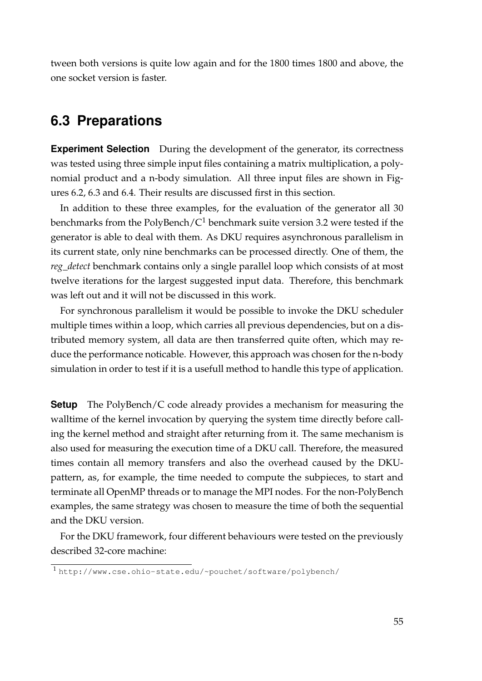tween both versions is quite low again and for the 1800 times 1800 and above, the one socket version is faster.

# **6.3 Preparations**

**Experiment Selection** During the development of the generator, its correctness was tested using three simple input files containing a matrix multiplication, a polynomial product and a n-body simulation. All three input files are shown in Figures [6.2,](#page-55-0) [6.3](#page-55-1) and [6.4.](#page-56-0) Their results are discussed first in this section.

In addition to these three examples, for the evaluation of the generator all 30 benchmarks from the PolyBench/ $C<sup>1</sup>$  $C<sup>1</sup>$  $C<sup>1</sup>$  benchmark suite version 3.2 were tested if the generator is able to deal with them. As DKU requires asynchronous parallelism in its current state, only nine benchmarks can be processed directly. One of them, the *reg\_detect* benchmark contains only a single parallel loop which consists of at most twelve iterations for the largest suggested input data. Therefore, this benchmark was left out and it will not be discussed in this work.

For synchronous parallelism it would be possible to invoke the DKU scheduler multiple times within a loop, which carries all previous dependencies, but on a distributed memory system, all data are then transferred quite often, which may reduce the performance noticable. However, this approach was chosen for the n-body simulation in order to test if it is a usefull method to handle this type of application.

**Setup** The PolyBench/C code already provides a mechanism for measuring the walltime of the kernel invocation by querying the system time directly before calling the kernel method and straight after returning from it. The same mechanism is also used for measuring the execution time of a DKU call. Therefore, the measured times contain all memory transfers and also the overhead caused by the DKUpattern, as, for example, the time needed to compute the subpieces, to start and terminate all OpenMP threads or to manage the MPI nodes. For the non-PolyBench examples, the same strategy was chosen to measure the time of both the sequential and the DKU version.

For the DKU framework, four different behaviours were tested on the previously described 32-core machine:

<span id="page-54-0"></span><sup>1</sup> <http://www.cse.ohio-state.edu/~pouchet/software/polybench/>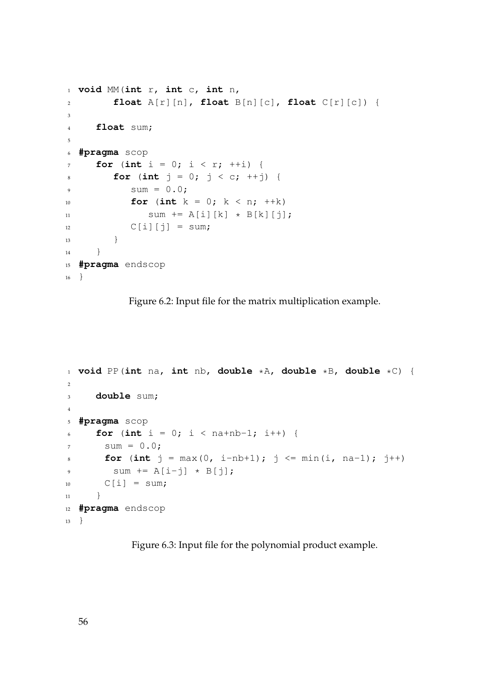```
1 void MM(int r, int c, int n,
2 float A[r][n], float B[n][c], float C[r][c]) {
3
4 float sum;
5
6 #pragma scop
7 for (int i = 0; i < r; ++i) {
8 for (int j = 0; j < c; ++j) {
9 sum = 0.0;10 for (int k = 0; k < n; ++k)
11 sum \ + P = A[i][k] \ \star B[k][j];C[i][j] = sum;\left.\begin{array}{ccc} 13 & & \end{array}\right\}14 }
15 #pragma endscop
16 }
```
Figure 6.2: Input file for the matrix multiplication example.

```
1 void PP(int na, int nb, double *A, double *B, double *C) {
2
3 double sum;
4
5 #pragma scop
6 for (int i = 0; i < na + nb - 1; i++) {
7 \quad \text{sum} = 0.0;for (int j = max(0, i-nb+1); j \leq min(i, na-1); j++)9 sum \ +\ = A[i-j] \ \star \ B[j];10 C[i] = sum:
11 }
12 #pragma endscop
13 }
```
Figure 6.3: Input file for the polynomial product example.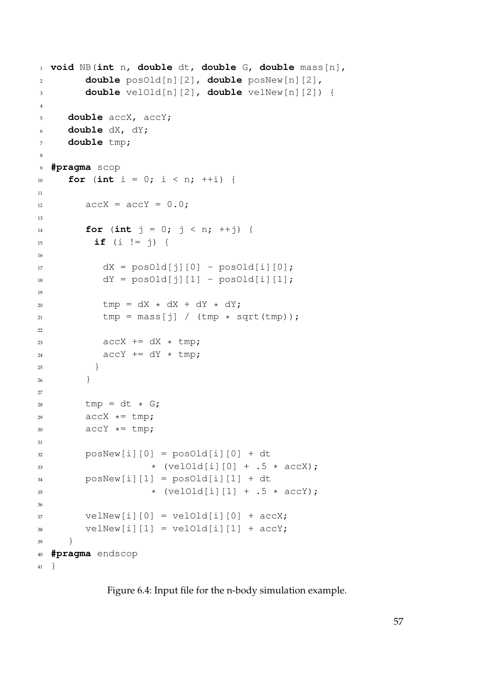```
1 void NB(int n, double dt, double G, double mass[n],
2 double posOld[n][2], double posNew[n][2],
3 double velOld[n][2], double velNew[n][2]) {
4
5 double accX, accY;
6 double dX, dY;
7 double tmp;
8
9 #pragma scop
10 for (int i = 0; i < n; ++i) {
11
12 accX = accY = 0.0;13
14 for (int j = 0; j < n; ++j) {
15 if (i = j) {
16
dX = posOld[j][0] - posOld[i][0];
dY = posOld[j][1] - posOld[i][1];19
20 tmp = dX * dX + dY * dY;
21 tmp = mass[j] / (tmp * sqrt(tmp));
22
23 accX += dX * tmp;24 accY += dY * tmp;25 }
26 }
27
28 tmp = dt \star G;
29 accX \star= tmp;
30 accY \star = \text{tmp};
31
32 posNew[i][0] = posOld[i][0] + dt
\star (velold[i][0] + .5 \star accX);
34 posNew[i][1] = posOld[i][1] + dt
* (velold[i][1] + .5 * accY);
36
\text{y} velNew[i][0] = velOld[i][0] + accX;
38 velNew[i][1] = velOld[i][1] + accY;
39 }
40 #pragma endscop
41 }
```
Figure 6.4: Input file for the n-body simulation example.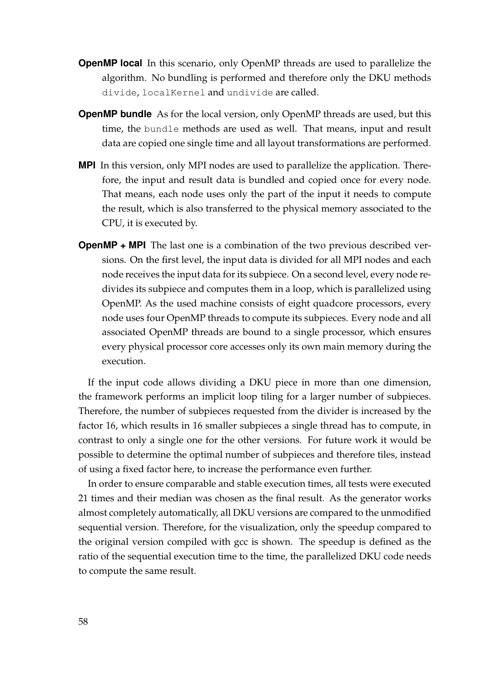- **OpenMP local** In this scenario, only OpenMP threads are used to parallelize the algorithm. No bundling is performed and therefore only the DKU methods divide, localKernel and undivide are called.
- **OpenMP bundle** As for the local version, only OpenMP threads are used, but this time, the bundle methods are used as well. That means, input and result data are copied one single time and all layout transformations are performed.
- **MPI** In this version, only MPI nodes are used to parallelize the application. Therefore, the input and result data is bundled and copied once for every node. That means, each node uses only the part of the input it needs to compute the result, which is also transferred to the physical memory associated to the CPU, it is executed by.
- **OpenMP + MPI** The last one is a combination of the two previous described versions. On the first level, the input data is divided for all MPI nodes and each node receives the input data for its subpiece. On a second level, every node redivides its subpiece and computes them in a loop, which is parallelized using OpenMP. As the used machine consists of eight quadcore processors, every node uses four OpenMP threads to compute its subpieces. Every node and all associated OpenMP threads are bound to a single processor, which ensures every physical processor core accesses only its own main memory during the execution.

If the input code allows dividing a DKU piece in more than one dimension, the framework performs an implicit loop tiling for a larger number of subpieces. Therefore, the number of subpieces requested from the divider is increased by the factor 16, which results in 16 smaller subpieces a single thread has to compute, in contrast to only a single one for the other versions. For future work it would be possible to determine the optimal number of subpieces and therefore tiles, instead of using a fixed factor here, to increase the performance even further.

In order to ensure comparable and stable execution times, all tests were executed 21 times and their median was chosen as the final result. As the generator works almost completely automatically, all DKU versions are compared to the unmodified sequential version. Therefore, for the visualization, only the speedup compared to the original version compiled with gcc is shown. The speedup is defined as the ratio of the sequential execution time to the time, the parallelized DKU code needs to compute the same result.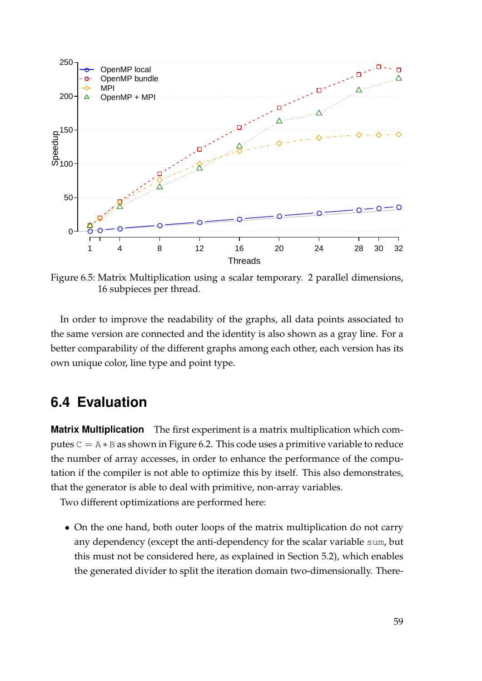<span id="page-58-0"></span>

Figure 6.5: Matrix Multiplication using a scalar temporary. 2 parallel dimensions, 16 subpieces per thread.

In order to improve the readability of the graphs, all data points associated to the same version are connected and the identity is also shown as a gray line. For a better comparability of the different graphs among each other, each version has its own unique color, line type and point type.

# **6.4 Evaluation**

**Matrix Multiplication** The first experiment is a matrix multiplication which computes  $C = A * B$  as shown in Figure [6.2.](#page-55-0) This code uses a primitive variable to reduce the number of array accesses, in order to enhance the performance of the computation if the compiler is not able to optimize this by itself. This also demonstrates, that the generator is able to deal with primitive, non-array variables.

Two different optimizations are performed here:

• On the one hand, both outer loops of the matrix multiplication do not carry any dependency (except the anti-dependency for the scalar variable sum, but this must not be considered here, as explained in Section [5.2\)](#page-35-0), which enables the generated divider to split the iteration domain two-dimensionally. There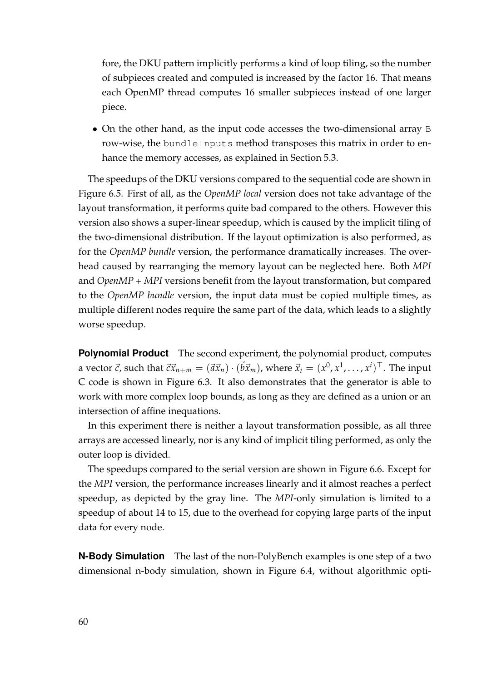fore, the DKU pattern implicitly performs a kind of loop tiling, so the number of subpieces created and computed is increased by the factor 16. That means each OpenMP thread computes 16 smaller subpieces instead of one larger piece.

• On the other hand, as the input code accesses the two-dimensional array B row-wise, the bundleInputs method transposes this matrix in order to enhance the memory accesses, as explained in Section [5.3.](#page-37-0)

The speedups of the DKU versions compared to the sequential code are shown in Figure [6.5.](#page-58-0) First of all, as the *OpenMP local* version does not take advantage of the layout transformation, it performs quite bad compared to the others. However this version also shows a super-linear speedup, which is caused by the implicit tiling of the two-dimensional distribution. If the layout optimization is also performed, as for the *OpenMP bundle* version, the performance dramatically increases. The overhead caused by rearranging the memory layout can be neglected here. Both *MPI* and *OpenMP + MPI* versions benefit from the layout transformation, but compared to the *OpenMP bundle* version, the input data must be copied multiple times, as multiple different nodes require the same part of the data, which leads to a slightly worse speedup.

**Polynomial Product** The second experiment, the polynomial product, computes a vector  $\vec{c}$ , such that  $\vec{c}\vec{x}_{n+m} = (\vec{a}\vec{x}_n) \cdot (\vec{b}\vec{x}_m)$ , where  $\vec{x}_i = (x^0, x^1, \dots, x^i)^\top$ . The input C code is shown in Figure [6.3.](#page-55-1) It also demonstrates that the generator is able to work with more complex loop bounds, as long as they are defined as a union or an intersection of affine inequations.

In this experiment there is neither a layout transformation possible, as all three arrays are accessed linearly, nor is any kind of implicit tiling performed, as only the outer loop is divided.

The speedups compared to the serial version are shown in Figure [6.6.](#page-60-0) Except for the *MPI* version, the performance increases linearly and it almost reaches a perfect speedup, as depicted by the gray line. The *MPI*-only simulation is limited to a speedup of about 14 to 15, due to the overhead for copying large parts of the input data for every node.

**N-Body Simulation** The last of the non-PolyBench examples is one step of a two dimensional n-body simulation, shown in Figure [6.4,](#page-56-0) without algorithmic opti-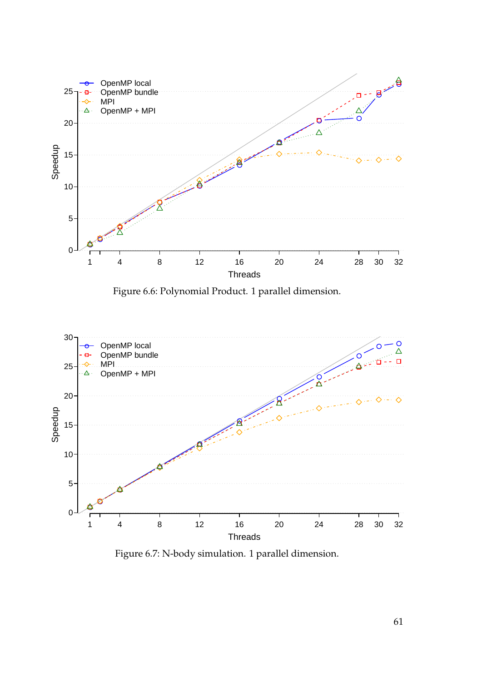<span id="page-60-0"></span>

<span id="page-60-1"></span>Figure 6.7: N-body simulation. 1 parallel dimension.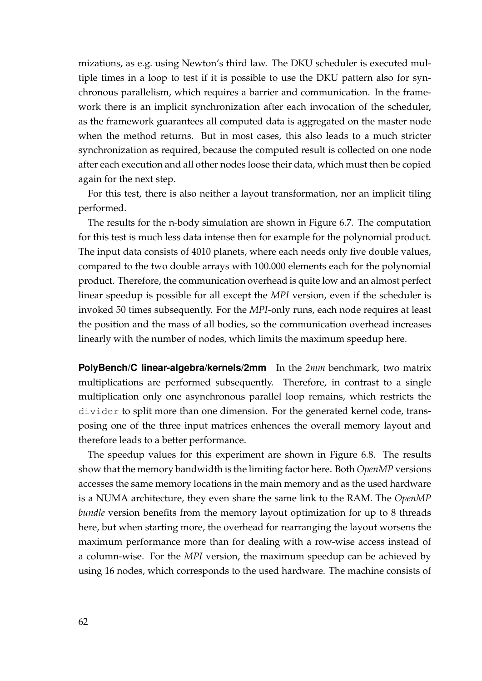mizations, as e.g. using Newton's third law. The DKU scheduler is executed multiple times in a loop to test if it is possible to use the DKU pattern also for synchronous parallelism, which requires a barrier and communication. In the framework there is an implicit synchronization after each invocation of the scheduler, as the framework guarantees all computed data is aggregated on the master node when the method returns. But in most cases, this also leads to a much stricter synchronization as required, because the computed result is collected on one node after each execution and all other nodes loose their data, which must then be copied again for the next step.

For this test, there is also neither a layout transformation, nor an implicit tiling performed.

The results for the n-body simulation are shown in Figure [6.7.](#page-60-1) The computation for this test is much less data intense then for example for the polynomial product. The input data consists of 4010 planets, where each needs only five double values, compared to the two double arrays with 100.000 elements each for the polynomial product. Therefore, the communication overhead is quite low and an almost perfect linear speedup is possible for all except the *MPI* version, even if the scheduler is invoked 50 times subsequently. For the *MPI*-only runs, each node requires at least the position and the mass of all bodies, so the communication overhead increases linearly with the number of nodes, which limits the maximum speedup here.

**PolyBench/C linear-algebra/kernels/2mm** In the *2mm* benchmark, two matrix multiplications are performed subsequently. Therefore, in contrast to a single multiplication only one asynchronous parallel loop remains, which restricts the divider to split more than one dimension. For the generated kernel code, transposing one of the three input matrices enhences the overall memory layout and therefore leads to a better performance.

The speedup values for this experiment are shown in Figure [6.8.](#page-62-0) The results show that the memory bandwidth is the limiting factor here. Both *OpenMP* versions accesses the same memory locations in the main memory and as the used hardware is a NUMA architecture, they even share the same link to the RAM. The *OpenMP bundle* version benefits from the memory layout optimization for up to 8 threads here, but when starting more, the overhead for rearranging the layout worsens the maximum performance more than for dealing with a row-wise access instead of a column-wise. For the *MPI* version, the maximum speedup can be achieved by using 16 nodes, which corresponds to the used hardware. The machine consists of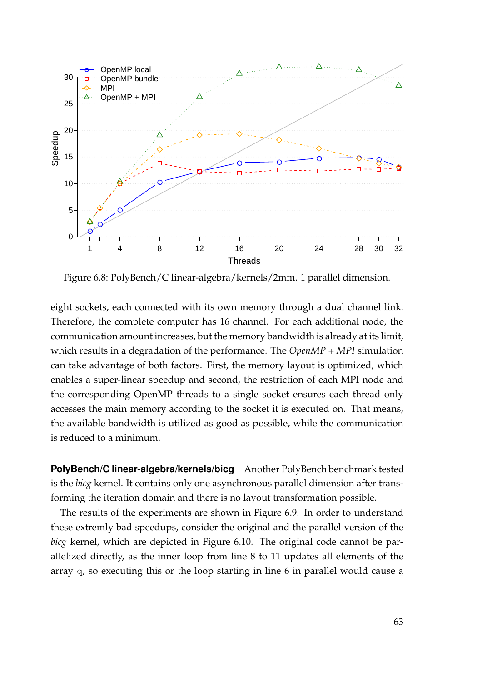<span id="page-62-0"></span>

Figure 6.8: PolyBench/C linear-algebra/kernels/2mm. 1 parallel dimension.

eight sockets, each connected with its own memory through a dual channel link. Therefore, the complete computer has 16 channel. For each additional node, the communication amount increases, but the memory bandwidth is already at its limit, which results in a degradation of the performance. The *OpenMP + MPI* simulation can take advantage of both factors. First, the memory layout is optimized, which enables a super-linear speedup and second, the restriction of each MPI node and the corresponding OpenMP threads to a single socket ensures each thread only accesses the main memory according to the socket it is executed on. That means, the available bandwidth is utilized as good as possible, while the communication is reduced to a minimum.

**PolyBench/C linear-algebra/kernels/bicg** Another PolyBench benchmark tested is the *bicg* kernel. It contains only one asynchronous parallel dimension after transforming the iteration domain and there is no layout transformation possible.

The results of the experiments are shown in Figure [6.9.](#page-63-0) In order to understand these extremly bad speedups, consider the original and the parallel version of the *bicg* kernel, which are depicted in Figure [6.10.](#page-63-1) The original code cannot be parallelized directly, as the inner loop from line 8 to 11 updates all elements of the array q, so executing this or the loop starting in line 6 in parallel would cause a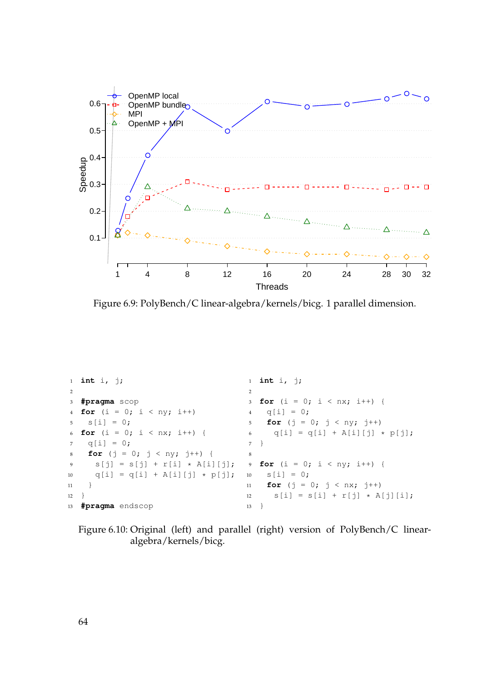<span id="page-63-0"></span>

Figure 6.9: PolyBench/C linear-algebra/kernels/bicg. 1 parallel dimension.

```
1 int i, j;
\overline{2}3 #pragma scop
4 for (i = 0; i < ny; i++)
5 \t S[i] = 0;6 for (i = 0; i < nx; i++) {
7 \tq[i] = 0;8 for (j = 0; j < ny; j++) {
9 s[j] = s[j] + r[i] * A[i][j];10 q[i] = q[i] + A[i][j] * p[j];11   }
12 \quad \frac{1}{2}13 #pragma endscop
                                         1 int i, j;
                                       2
                                          for (i = 0; i < nx; i++) {
                                           q[i] = 0;5 for (j = 0; j < ny; j++)6 q[i] = q[i] + A[i][j] * p[j];7 }
                                       8
                                       9 for (i = 0; i < ny; i++) {
                                       10 S[i] = 0;11 for (j = 0; j < nx; j++)
                                       12 S[i] = S[i] + r[j] * A[j][i];13 }
```
Figure 6.10: Original (left) and parallel (right) version of PolyBench/C linearalgebra/kernels/bicg.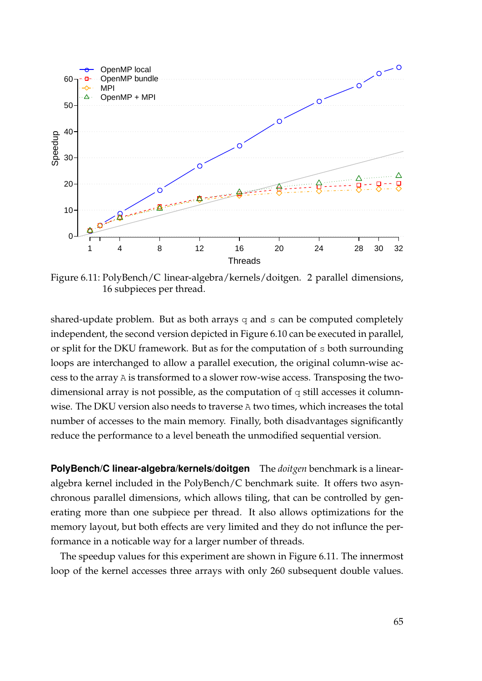<span id="page-64-0"></span>

Figure 6.11: PolyBench/C linear-algebra/kernels/doitgen. 2 parallel dimensions, 16 subpieces per thread.

shared-update problem. But as both arrays  $q$  and s can be computed completely independent, the second version depicted in Figure [6.10](#page-63-1) can be executed in parallel, or split for the DKU framework. But as for the computation of s both surrounding loops are interchanged to allow a parallel execution, the original column-wise access to the array A is transformed to a slower row-wise access. Transposing the twodimensional array is not possible, as the computation of  $q$  still accesses it columnwise. The DKU version also needs to traverse A two times, which increases the total number of accesses to the main memory. Finally, both disadvantages significantly reduce the performance to a level beneath the unmodified sequential version.

**PolyBench/C linear-algebra/kernels/doitgen** The *doitgen* benchmark is a linearalgebra kernel included in the PolyBench/C benchmark suite. It offers two asynchronous parallel dimensions, which allows tiling, that can be controlled by generating more than one subpiece per thread. It also allows optimizations for the memory layout, but both effects are very limited and they do not influnce the performance in a noticable way for a larger number of threads.

The speedup values for this experiment are shown in Figure [6.11.](#page-64-0) The innermost loop of the kernel accesses three arrays with only 260 subsequent double values.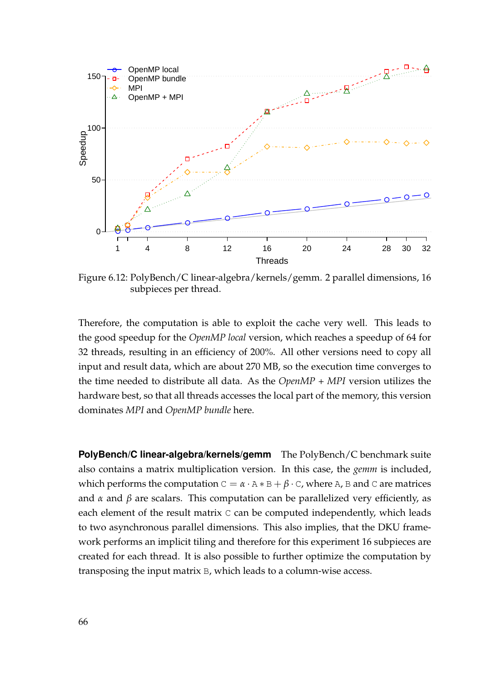<span id="page-65-0"></span>

Figure 6.12: PolyBench/C linear-algebra/kernels/gemm. 2 parallel dimensions, 16 subpieces per thread.

Therefore, the computation is able to exploit the cache very well. This leads to the good speedup for the *OpenMP local* version, which reaches a speedup of 64 for 32 threads, resulting in an efficiency of 200%. All other versions need to copy all input and result data, which are about 270 MB, so the execution time converges to the time needed to distribute all data. As the *OpenMP + MPI* version utilizes the hardware best, so that all threads accesses the local part of the memory, this version dominates *MPI* and *OpenMP bundle* here.

**PolyBench/C linear-algebra/kernels/gemm** The PolyBench/C benchmark suite also contains a matrix multiplication version. In this case, the *gemm* is included, which performs the computation  $C = \alpha \cdot A * B + \beta \cdot C$ , where A, B and C are matrices and  $\alpha$  and  $\beta$  are scalars. This computation can be parallelized very efficiently, as each element of the result matrix  $C$  can be computed independently, which leads to two asynchronous parallel dimensions. This also implies, that the DKU framework performs an implicit tiling and therefore for this experiment 16 subpieces are created for each thread. It is also possible to further optimize the computation by transposing the input matrix B, which leads to a column-wise access.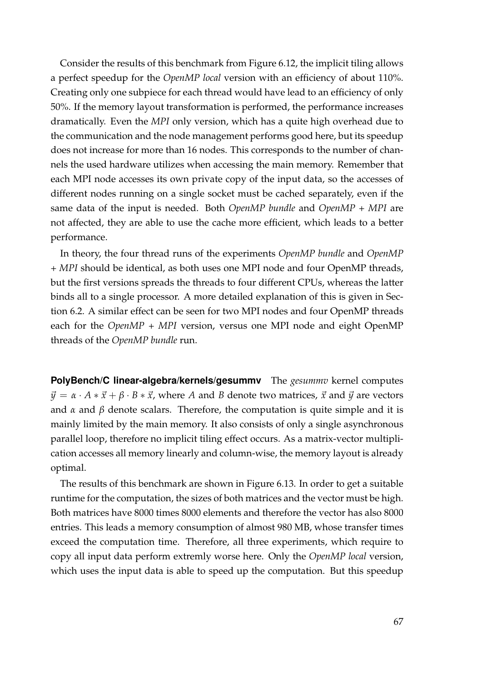Consider the results of this benchmark from Figure [6.12,](#page-65-0) the implicit tiling allows a perfect speedup for the *OpenMP local* version with an efficiency of about 110%. Creating only one subpiece for each thread would have lead to an efficiency of only 50%. If the memory layout transformation is performed, the performance increases dramatically. Even the *MPI* only version, which has a quite high overhead due to the communication and the node management performs good here, but its speedup does not increase for more than 16 nodes. This corresponds to the number of channels the used hardware utilizes when accessing the main memory. Remember that each MPI node accesses its own private copy of the input data, so the accesses of different nodes running on a single socket must be cached separately, even if the same data of the input is needed. Both *OpenMP bundle* and *OpenMP + MPI* are not affected, they are able to use the cache more efficient, which leads to a better performance.

In theory, the four thread runs of the experiments *OpenMP bundle* and *OpenMP + MPI* should be identical, as both uses one MPI node and four OpenMP threads, but the first versions spreads the threads to four different CPUs, whereas the latter binds all to a single processor. A more detailed explanation of this is given in Section [6.2.](#page-53-1) A similar effect can be seen for two MPI nodes and four OpenMP threads each for the *OpenMP + MPI* version, versus one MPI node and eight OpenMP threads of the *OpenMP bundle* run.

**PolyBench/C linear-algebra/kernels/gesummv** The *gesummv* kernel computes  $\vec{y} = \alpha \cdot A * \vec{x} + \beta \cdot B * \vec{x}$ , where *A* and *B* denote two matrices,  $\vec{x}$  and  $\vec{y}$  are vectors and  $\alpha$  and  $\beta$  denote scalars. Therefore, the computation is quite simple and it is mainly limited by the main memory. It also consists of only a single asynchronous parallel loop, therefore no implicit tiling effect occurs. As a matrix-vector multiplication accesses all memory linearly and column-wise, the memory layout is already optimal.

The results of this benchmark are shown in Figure [6.13.](#page-67-0) In order to get a suitable runtime for the computation, the sizes of both matrices and the vector must be high. Both matrices have 8000 times 8000 elements and therefore the vector has also 8000 entries. This leads a memory consumption of almost 980 MB, whose transfer times exceed the computation time. Therefore, all three experiments, which require to copy all input data perform extremly worse here. Only the *OpenMP local* version, which uses the input data is able to speed up the computation. But this speedup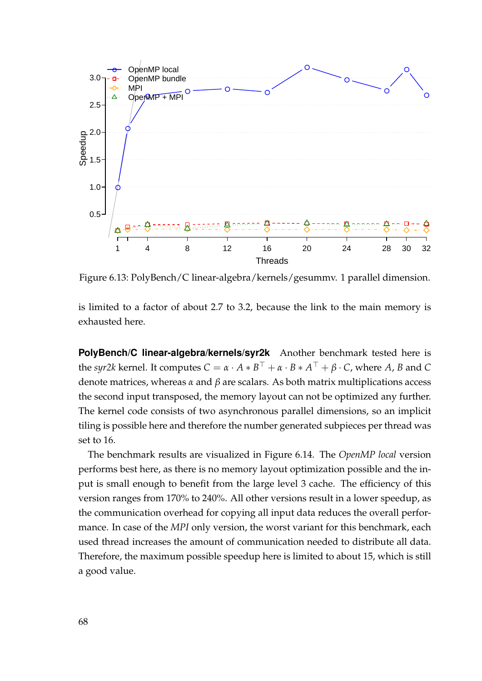<span id="page-67-0"></span>

Figure 6.13: PolyBench/C linear-algebra/kernels/gesummv. 1 parallel dimension.

is limited to a factor of about 2.7 to 3.2, because the link to the main memory is exhausted here.

**PolyBench/C linear-algebra/kernels/syr2k** Another benchmark tested here is the *syr2k* kernel. It computes  $C = \alpha \cdot A * B^{\top} + \alpha \cdot B * A^{\top} + \beta \cdot C$ , where  $A$ ,  $B$  and  $C$ denote matrices, whereas *α* and *β* are scalars. As both matrix multiplications access the second input transposed, the memory layout can not be optimized any further. The kernel code consists of two asynchronous parallel dimensions, so an implicit tiling is possible here and therefore the number generated subpieces per thread was set to 16.

The benchmark results are visualized in Figure [6.14.](#page-68-0) The *OpenMP local* version performs best here, as there is no memory layout optimization possible and the input is small enough to benefit from the large level 3 cache. The efficiency of this version ranges from 170% to 240%. All other versions result in a lower speedup, as the communication overhead for copying all input data reduces the overall performance. In case of the *MPI* only version, the worst variant for this benchmark, each used thread increases the amount of communication needed to distribute all data. Therefore, the maximum possible speedup here is limited to about 15, which is still a good value.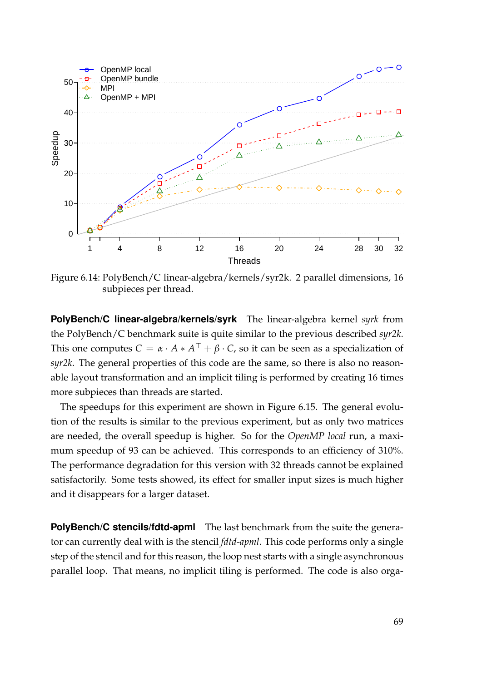<span id="page-68-0"></span>

Figure 6.14: PolyBench/C linear-algebra/kernels/syr2k. 2 parallel dimensions, 16 subpieces per thread.

**PolyBench/C linear-algebra/kernels/syrk** The linear-algebra kernel *syrk* from the PolyBench/C benchmark suite is quite similar to the previous described *syr2k*. This one computes  $C = \alpha \cdot A * A^\top + \beta \cdot C$ , so it can be seen as a specialization of *syr2k*. The general properties of this code are the same, so there is also no reasonable layout transformation and an implicit tiling is performed by creating 16 times more subpieces than threads are started.

The speedups for this experiment are shown in Figure [6.15.](#page-69-0) The general evolution of the results is similar to the previous experiment, but as only two matrices are needed, the overall speedup is higher. So for the *OpenMP local* run, a maximum speedup of 93 can be achieved. This corresponds to an efficiency of 310%. The performance degradation for this version with 32 threads cannot be explained satisfactorily. Some tests showed, its effect for smaller input sizes is much higher and it disappears for a larger dataset.

**PolyBench/C stencils/fdtd-apml** The last benchmark from the suite the generator can currently deal with is the stencil *fdtd-apml*. This code performs only a single step of the stencil and for this reason, the loop nest starts with a single asynchronous parallel loop. That means, no implicit tiling is performed. The code is also orga-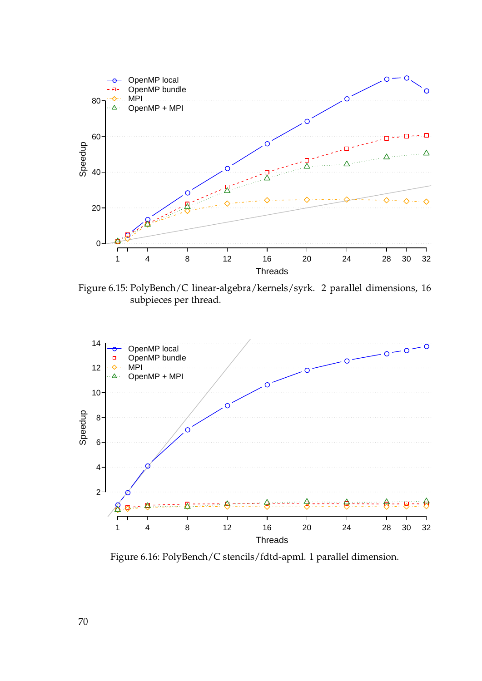<span id="page-69-0"></span>

Figure 6.15: PolyBench/C linear-algebra/kernels/syrk. 2 parallel dimensions, 16 subpieces per thread.

<span id="page-69-1"></span>

Figure 6.16: PolyBench/C stencils/fdtd-apml. 1 parallel dimension.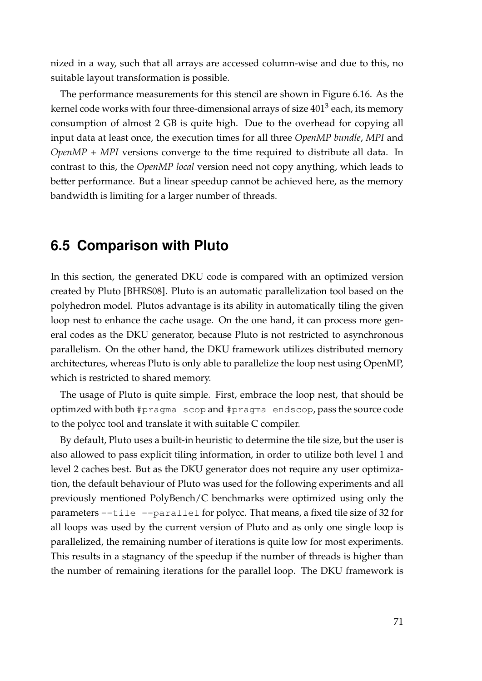nized in a way, such that all arrays are accessed column-wise and due to this, no suitable layout transformation is possible.

The performance measurements for this stencil are shown in Figure [6.16.](#page-69-1) As the kernel code works with four three-dimensional arrays of size  $401^3$  each, its memory consumption of almost 2 GB is quite high. Due to the overhead for copying all input data at least once, the execution times for all three *OpenMP bundle*, *MPI* and *OpenMP + MPI* versions converge to the time required to distribute all data. In contrast to this, the *OpenMP local* version need not copy anything, which leads to better performance. But a linear speedup cannot be achieved here, as the memory bandwidth is limiting for a larger number of threads.

## **6.5 Comparison with Pluto**

In this section, the generated DKU code is compared with an optimized version created by Pluto [\[BHRS08\]](#page-82-0). Pluto is an automatic parallelization tool based on the polyhedron model. Plutos advantage is its ability in automatically tiling the given loop nest to enhance the cache usage. On the one hand, it can process more general codes as the DKU generator, because Pluto is not restricted to asynchronous parallelism. On the other hand, the DKU framework utilizes distributed memory architectures, whereas Pluto is only able to parallelize the loop nest using OpenMP, which is restricted to shared memory.

The usage of Pluto is quite simple. First, embrace the loop nest, that should be optimzed with both #pragma scop and #pragma endscop, pass the source code to the polycc tool and translate it with suitable C compiler.

By default, Pluto uses a built-in heuristic to determine the tile size, but the user is also allowed to pass explicit tiling information, in order to utilize both level 1 and level 2 caches best. But as the DKU generator does not require any user optimization, the default behaviour of Pluto was used for the following experiments and all previously mentioned PolyBench/C benchmarks were optimized using only the parameters --tile --parallel for polycc. That means, a fixed tile size of 32 for all loops was used by the current version of Pluto and as only one single loop is parallelized, the remaining number of iterations is quite low for most experiments. This results in a stagnancy of the speedup if the number of threads is higher than the number of remaining iterations for the parallel loop. The DKU framework is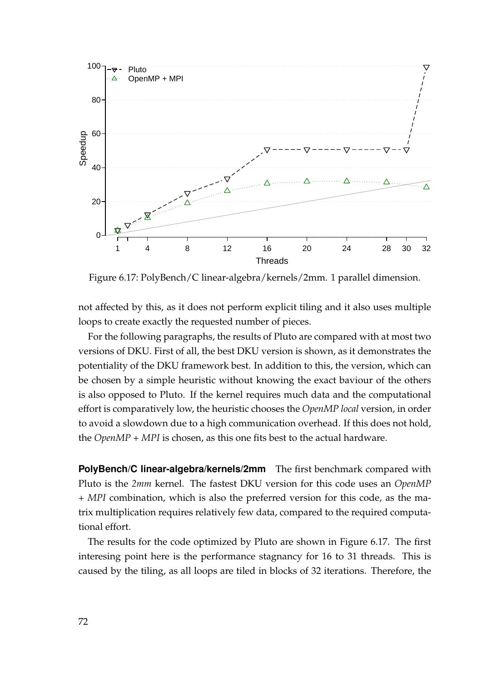<span id="page-71-0"></span>

Figure 6.17: PolyBench/C linear-algebra/kernels/2mm. 1 parallel dimension.

not affected by this, as it does not perform explicit tiling and it also uses multiple loops to create exactly the requested number of pieces.

For the following paragraphs, the results of Pluto are compared with at most two versions of DKU. First of all, the best DKU version is shown, as it demonstrates the potentiality of the DKU framework best. In addition to this, the version, which can be chosen by a simple heuristic without knowing the exact baviour of the others is also opposed to Pluto. If the kernel requires much data and the computational effort is comparatively low, the heuristic chooses the *OpenMP local* version, in order to avoid a slowdown due to a high communication overhead. If this does not hold, the *OpenMP + MPI* is chosen, as this one fits best to the actual hardware.

**PolyBench/C linear-algebra/kernels/2mm** The first benchmark compared with Pluto is the *2mm* kernel. The fastest DKU version for this code uses an *OpenMP + MPI* combination, which is also the preferred version for this code, as the matrix multiplication requires relatively few data, compared to the required computational effort.

The results for the code optimized by Pluto are shown in Figure [6.17.](#page-71-0) The first interesing point here is the performance stagnancy for 16 to 31 threads. This is caused by the tiling, as all loops are tiled in blocks of 32 iterations. Therefore, the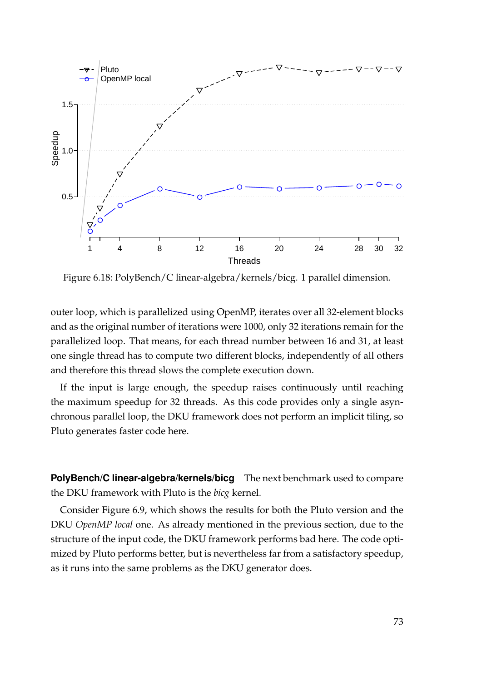

Figure 6.18: PolyBench/C linear-algebra/kernels/bicg. 1 parallel dimension.

outer loop, which is parallelized using OpenMP, iterates over all 32-element blocks and as the original number of iterations were 1000, only 32 iterations remain for the parallelized loop. That means, for each thread number between 16 and 31, at least one single thread has to compute two different blocks, independently of all others and therefore this thread slows the complete execution down.

If the input is large enough, the speedup raises continuously until reaching the maximum speedup for 32 threads. As this code provides only a single asynchronous parallel loop, the DKU framework does not perform an implicit tiling, so Pluto generates faster code here.

**PolyBench/C linear-algebra/kernels/bicg** The next benchmark used to compare the DKU framework with Pluto is the *bicg* kernel.

Consider Figure [6.9,](#page-63-0) which shows the results for both the Pluto version and the DKU *OpenMP local* one. As already mentioned in the previous section, due to the structure of the input code, the DKU framework performs bad here. The code optimized by Pluto performs better, but is nevertheless far from a satisfactory speedup, as it runs into the same problems as the DKU generator does.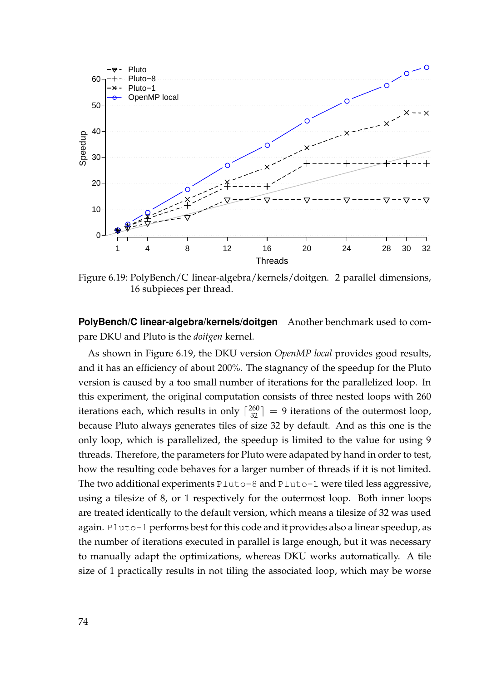<span id="page-73-0"></span>

Figure 6.19: PolyBench/C linear-algebra/kernels/doitgen. 2 parallel dimensions, 16 subpieces per thread.

**PolyBench/C linear-algebra/kernels/doitgen** Another benchmark used to compare DKU and Pluto is the *doitgen* kernel.

As shown in Figure [6.19,](#page-73-0) the DKU version *OpenMP local* provides good results, and it has an efficiency of about 200%. The stagnancy of the speedup for the Pluto version is caused by a too small number of iterations for the parallelized loop. In this experiment, the original computation consists of three nested loops with 260 iterations each, which results in only  $\lceil \frac{260}{32} \rceil = 9$  iterations of the outermost loop, because Pluto always generates tiles of size 32 by default. And as this one is the only loop, which is parallelized, the speedup is limited to the value for using 9 threads. Therefore, the parameters for Pluto were adapated by hand in order to test, how the resulting code behaves for a larger number of threads if it is not limited. The two additional experiments Pluto-8 and Pluto-1 were tiled less aggressive, using a tilesize of 8, or 1 respectively for the outermost loop. Both inner loops are treated identically to the default version, which means a tilesize of 32 was used again. Pluto-1 performs best for this code and it provides also a linear speedup, as the number of iterations executed in parallel is large enough, but it was necessary to manually adapt the optimizations, whereas DKU works automatically. A tile size of 1 practically results in not tiling the associated loop, which may be worse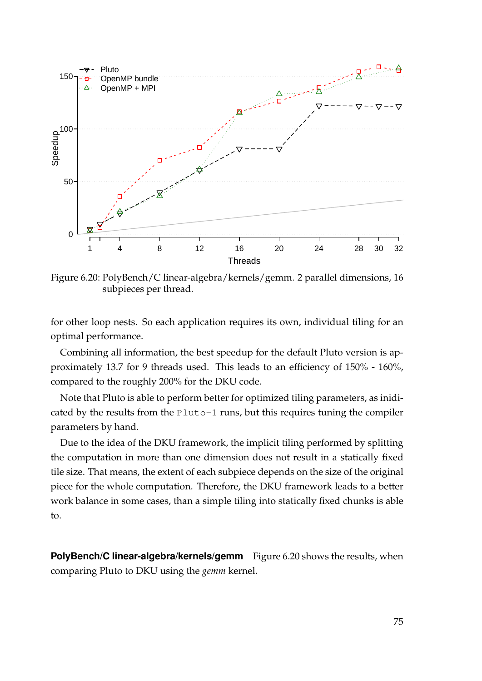<span id="page-74-0"></span>

Figure 6.20: PolyBench/C linear-algebra/kernels/gemm. 2 parallel dimensions, 16 subpieces per thread.

for other loop nests. So each application requires its own, individual tiling for an optimal performance.

Combining all information, the best speedup for the default Pluto version is approximately 13.7 for 9 threads used. This leads to an efficiency of 150% - 160%, compared to the roughly 200% for the DKU code.

Note that Pluto is able to perform better for optimized tiling parameters, as inidicated by the results from the Pluto-1 runs, but this requires tuning the compiler parameters by hand.

Due to the idea of the DKU framework, the implicit tiling performed by splitting the computation in more than one dimension does not result in a statically fixed tile size. That means, the extent of each subpiece depends on the size of the original piece for the whole computation. Therefore, the DKU framework leads to a better work balance in some cases, than a simple tiling into statically fixed chunks is able to.

**PolyBench/C linear-algebra/kernels/gemm** Figure [6.20](#page-74-0) shows the results, when comparing Pluto to DKU using the *gemm* kernel.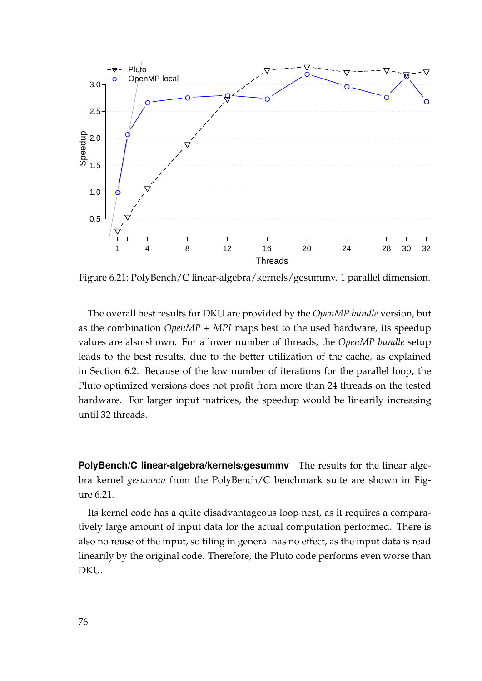<span id="page-75-0"></span>

Figure 6.21: PolyBench/C linear-algebra/kernels/gesummv. 1 parallel dimension.

The overall best results for DKU are provided by the *OpenMP bundle* version, but as the combination *OpenMP + MPI* maps best to the used hardware, its speedup values are also shown. For a lower number of threads, the *OpenMP bundle* setup leads to the best results, due to the better utilization of the cache, as explained in Section [6.2.](#page-53-0) Because of the low number of iterations for the parallel loop, the Pluto optimized versions does not profit from more than 24 threads on the tested hardware. For larger input matrices, the speedup would be linearily increasing until 32 threads.

**PolyBench/C linear-algebra/kernels/gesummv** The results for the linear algebra kernel *gesummv* from the PolyBench/C benchmark suite are shown in Figure [6.21.](#page-75-0)

Its kernel code has a quite disadvantageous loop nest, as it requires a comparatively large amount of input data for the actual computation performed. There is also no reuse of the input, so tiling in general has no effect, as the input data is read linearily by the original code. Therefore, the Pluto code performs even worse than DKU.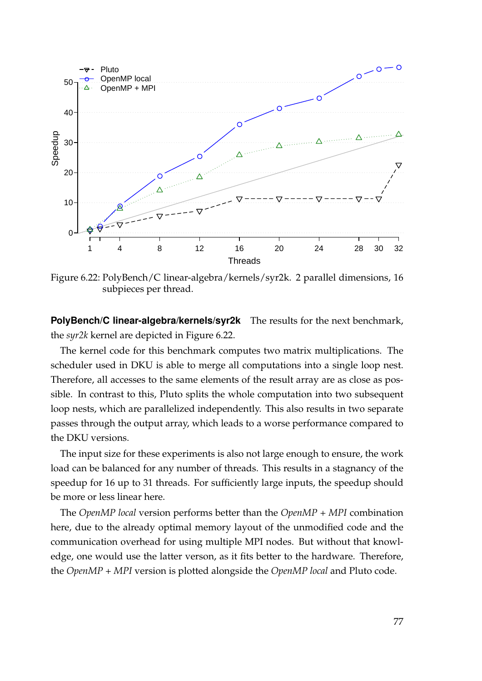<span id="page-76-0"></span>

Figure 6.22: PolyBench/C linear-algebra/kernels/syr2k. 2 parallel dimensions, 16 subpieces per thread.

**PolyBench/C linear-algebra/kernels/syr2k** The results for the next benchmark, the *syr2k* kernel are depicted in Figure [6.22.](#page-76-0)

The kernel code for this benchmark computes two matrix multiplications. The scheduler used in DKU is able to merge all computations into a single loop nest. Therefore, all accesses to the same elements of the result array are as close as possible. In contrast to this, Pluto splits the whole computation into two subsequent loop nests, which are parallelized independently. This also results in two separate passes through the output array, which leads to a worse performance compared to the DKU versions.

The input size for these experiments is also not large enough to ensure, the work load can be balanced for any number of threads. This results in a stagnancy of the speedup for 16 up to 31 threads. For sufficiently large inputs, the speedup should be more or less linear here.

The *OpenMP local* version performs better than the *OpenMP + MPI* combination here, due to the already optimal memory layout of the unmodified code and the communication overhead for using multiple MPI nodes. But without that knowledge, one would use the latter verson, as it fits better to the hardware. Therefore, the *OpenMP + MPI* version is plotted alongside the *OpenMP local* and Pluto code.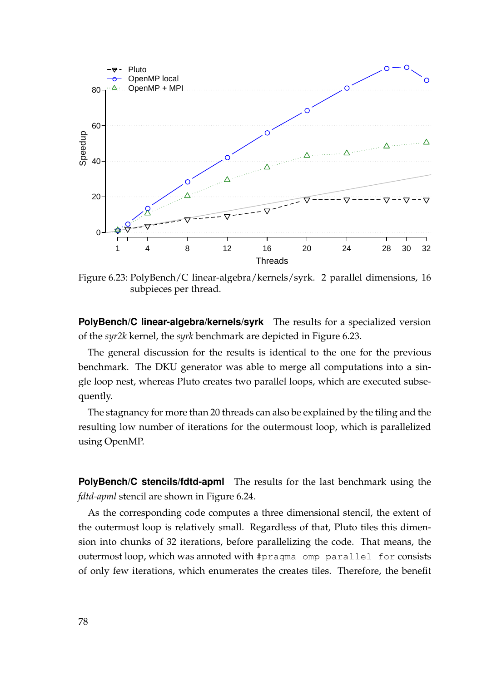<span id="page-77-0"></span>

Figure 6.23: PolyBench/C linear-algebra/kernels/syrk. 2 parallel dimensions, 16 subpieces per thread.

**PolyBench/C linear-algebra/kernels/syrk** The results for a specialized version of the *syr2k* kernel, the *syrk* benchmark are depicted in Figure [6.23.](#page-77-0)

The general discussion for the results is identical to the one for the previous benchmark. The DKU generator was able to merge all computations into a single loop nest, whereas Pluto creates two parallel loops, which are executed subsequently.

The stagnancy for more than 20 threads can also be explained by the tiling and the resulting low number of iterations for the outermoust loop, which is parallelized using OpenMP.

**PolyBench/C stencils/fdtd-apml** The results for the last benchmark using the *fdtd-apml* stencil are shown in Figure [6.24.](#page-78-0)

As the corresponding code computes a three dimensional stencil, the extent of the outermost loop is relatively small. Regardless of that, Pluto tiles this dimension into chunks of 32 iterations, before parallelizing the code. That means, the outermost loop, which was annoted with #pragma omp parallel for consists of only few iterations, which enumerates the creates tiles. Therefore, the benefit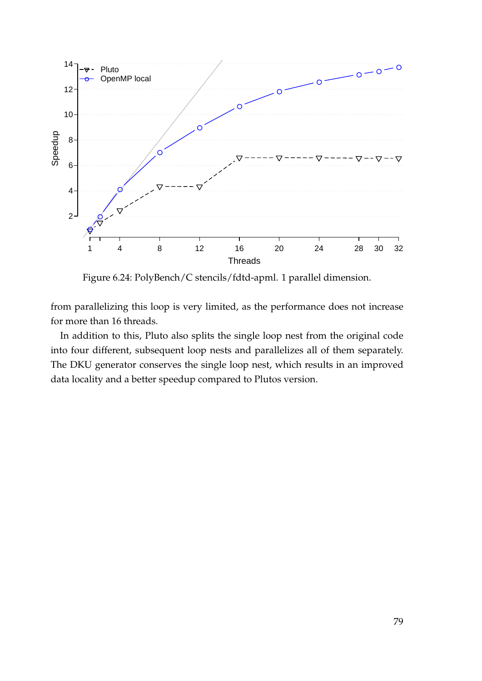<span id="page-78-0"></span>

Figure 6.24: PolyBench/C stencils/fdtd-apml. 1 parallel dimension.

from parallelizing this loop is very limited, as the performance does not increase for more than 16 threads.

In addition to this, Pluto also splits the single loop nest from the original code into four different, subsequent loop nests and parallelizes all of them separately. The DKU generator conserves the single loop nest, which results in an improved data locality and a better speedup compared to Plutos version.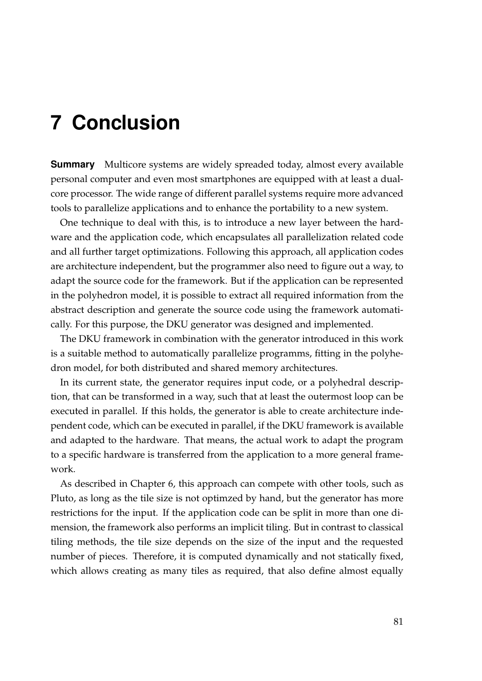## **7 Conclusion**

**Summary** Multicore systems are widely spreaded today, almost every available personal computer and even most smartphones are equipped with at least a dualcore processor. The wide range of different parallel systems require more advanced tools to parallelize applications and to enhance the portability to a new system.

One technique to deal with this, is to introduce a new layer between the hardware and the application code, which encapsulates all parallelization related code and all further target optimizations. Following this approach, all application codes are architecture independent, but the programmer also need to figure out a way, to adapt the source code for the framework. But if the application can be represented in the polyhedron model, it is possible to extract all required information from the abstract description and generate the source code using the framework automatically. For this purpose, the DKU generator was designed and implemented.

The DKU framework in combination with the generator introduced in this work is a suitable method to automatically parallelize programms, fitting in the polyhedron model, for both distributed and shared memory architectures.

In its current state, the generator requires input code, or a polyhedral description, that can be transformed in a way, such that at least the outermost loop can be executed in parallel. If this holds, the generator is able to create architecture independent code, which can be executed in parallel, if the DKU framework is available and adapted to the hardware. That means, the actual work to adapt the program to a specific hardware is transferred from the application to a more general framework.

As described in Chapter [6,](#page-50-0) this approach can compete with other tools, such as Pluto, as long as the tile size is not optimzed by hand, but the generator has more restrictions for the input. If the application code can be split in more than one dimension, the framework also performs an implicit tiling. But in contrast to classical tiling methods, the tile size depends on the size of the input and the requested number of pieces. Therefore, it is computed dynamically and not statically fixed, which allows creating as many tiles as required, that also define almost equally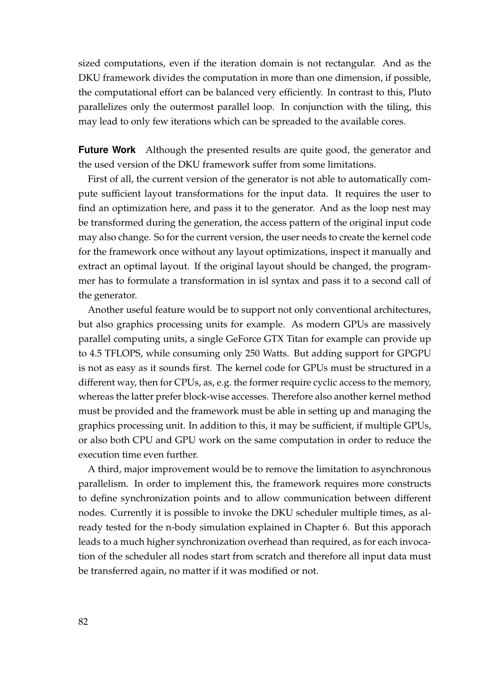sized computations, even if the iteration domain is not rectangular. And as the DKU framework divides the computation in more than one dimension, if possible, the computational effort can be balanced very efficiently. In contrast to this, Pluto parallelizes only the outermost parallel loop. In conjunction with the tiling, this may lead to only few iterations which can be spreaded to the available cores.

**Future Work** Although the presented results are quite good, the generator and the used version of the DKU framework suffer from some limitations.

First of all, the current version of the generator is not able to automatically compute sufficient layout transformations for the input data. It requires the user to find an optimization here, and pass it to the generator. And as the loop nest may be transformed during the generation, the access pattern of the original input code may also change. So for the current version, the user needs to create the kernel code for the framework once without any layout optimizations, inspect it manually and extract an optimal layout. If the original layout should be changed, the programmer has to formulate a transformation in isl syntax and pass it to a second call of the generator.

Another useful feature would be to support not only conventional architectures, but also graphics processing units for example. As modern GPUs are massively parallel computing units, a single GeForce GTX Titan for example can provide up to 4.5 TFLOPS, while consuming only 250 Watts. But adding support for GPGPU is not as easy as it sounds first. The kernel code for GPUs must be structured in a different way, then for CPUs, as, e.g. the former require cyclic access to the memory, whereas the latter prefer block-wise accesses. Therefore also another kernel method must be provided and the framework must be able in setting up and managing the graphics processing unit. In addition to this, it may be sufficient, if multiple GPUs, or also both CPU and GPU work on the same computation in order to reduce the execution time even further.

A third, major improvement would be to remove the limitation to asynchronous parallelism. In order to implement this, the framework requires more constructs to define synchronization points and to allow communication between different nodes. Currently it is possible to invoke the DKU scheduler multiple times, as already tested for the n-body simulation explained in Chapter [6.](#page-50-0) But this apporach leads to a much higher synchronization overhead than required, as for each invocation of the scheduler all nodes start from scratch and therefore all input data must be transferred again, no matter if it was modified or not.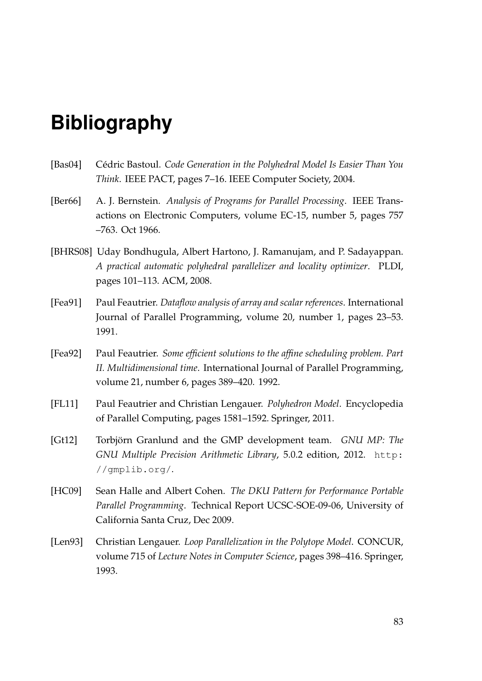## **Bibliography**

- [Bas04] Cédric Bastoul. *Code Generation in the Polyhedral Model Is Easier Than You Think*. IEEE PACT, pages 7–16. IEEE Computer Society, 2004.
- [Ber66] A. J. Bernstein. *Analysis of Programs for Parallel Processing*. IEEE Transactions on Electronic Computers, volume EC-15, number 5, pages 757 –763. Oct 1966.
- [BHRS08] Uday Bondhugula, Albert Hartono, J. Ramanujam, and P. Sadayappan. *A practical automatic polyhedral parallelizer and locality optimizer*. PLDI, pages 101–113. ACM, 2008.
- [Fea91] Paul Feautrier. *Dataflow analysis of array and scalar references*. International Journal of Parallel Programming, volume 20, number 1, pages 23–53. 1991.
- [Fea92] Paul Feautrier. *Some efficient solutions to the affine scheduling problem. Part II. Multidimensional time*. International Journal of Parallel Programming, volume 21, number 6, pages 389–420. 1992.
- [FL11] Paul Feautrier and Christian Lengauer. *Polyhedron Model*. Encyclopedia of Parallel Computing, pages 1581–1592. Springer, 2011.
- [Gt12] Torbjörn Granlund and the GMP development team. *GNU MP: The GNU Multiple Precision Arithmetic Library*, 5.0.2 edition, 2012. [http:](http://gmplib.org/) [//gmplib.org/](http://gmplib.org/).
- [HC09] Sean Halle and Albert Cohen. *The DKU Pattern for Performance Portable Parallel Programming*. Technical Report UCSC-SOE-09-06, University of California Santa Cruz, Dec 2009.
- [Len93] Christian Lengauer. *Loop Parallelization in the Polytope Model*. CONCUR, volume 715 of *Lecture Notes in Computer Science*, pages 398–416. Springer, 1993.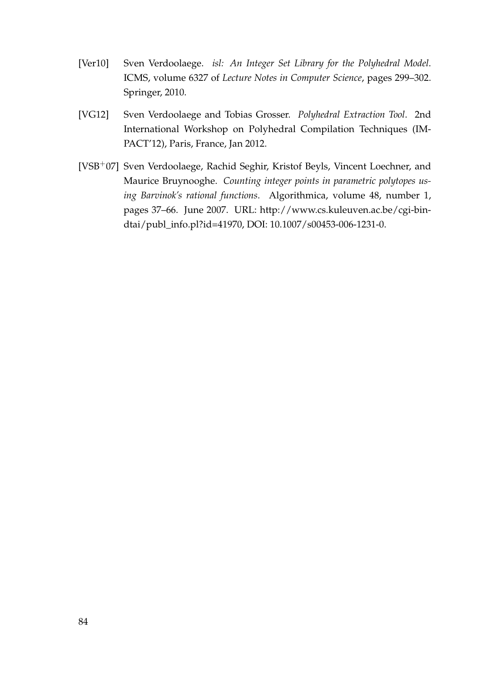- [Ver10] Sven Verdoolaege. *isl: An Integer Set Library for the Polyhedral Model*. ICMS, volume 6327 of *Lecture Notes in Computer Science*, pages 299–302. Springer, 2010.
- [VG12] Sven Verdoolaege and Tobias Grosser. *Polyhedral Extraction Tool*. 2nd International Workshop on Polyhedral Compilation Techniques (IM-PACT'12), Paris, France, Jan 2012.
- [VSB+07] Sven Verdoolaege, Rachid Seghir, Kristof Beyls, Vincent Loechner, and Maurice Bruynooghe. *Counting integer points in parametric polytopes using Barvinok's rational functions*. Algorithmica, volume 48, number 1, pages 37–66. June 2007. URL: http://www.cs.kuleuven.ac.be/cgi-bindtai/publ\_info.pl?id=41970, DOI: 10.1007/s00453-006-1231-0.